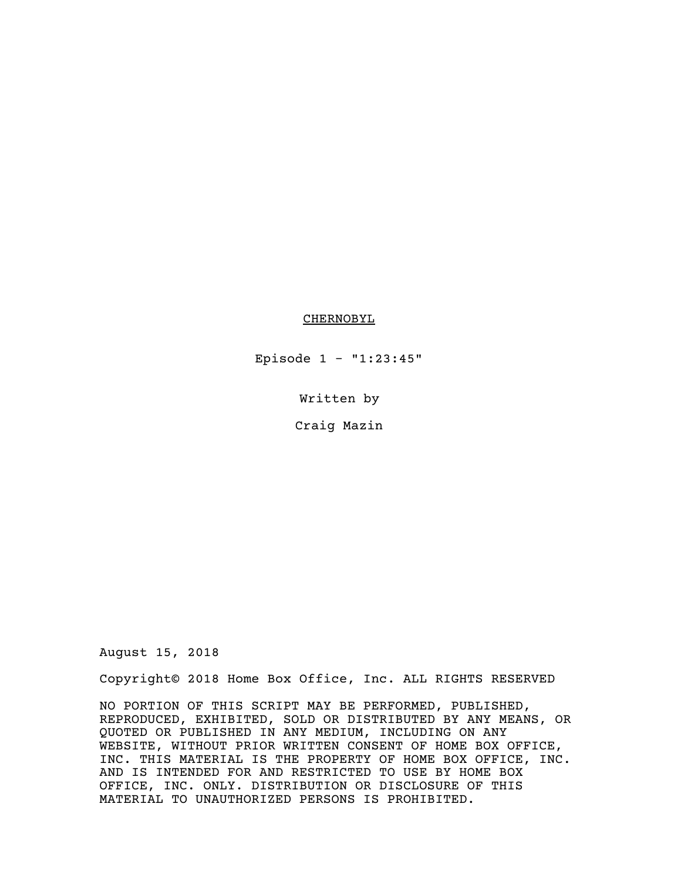## CHERNOBYL

Episode 1 - "1:23:45"

Written by

Craig Mazin

August 15, 2018

Copyright© 2018 Home Box Office, Inc. ALL RIGHTS RESERVED

NO PORTION OF THIS SCRIPT MAY BE PERFORMED, PUBLISHED, REPRODUCED, EXHIBITED, SOLD OR DISTRIBUTED BY ANY MEANS, OR QUOTED OR PUBLISHED IN ANY MEDIUM, INCLUDING ON ANY WEBSITE, WITHOUT PRIOR WRITTEN CONSENT OF HOME BOX OFFICE, INC. THIS MATERIAL IS THE PROPERTY OF HOME BOX OFFICE, INC. AND IS INTENDED FOR AND RESTRICTED TO USE BY HOME BOX OFFICE, INC. ONLY. DISTRIBUTION OR DISCLOSURE OF THIS MATERIAL TO UNAUTHORIZED PERSONS IS PROHIBITED.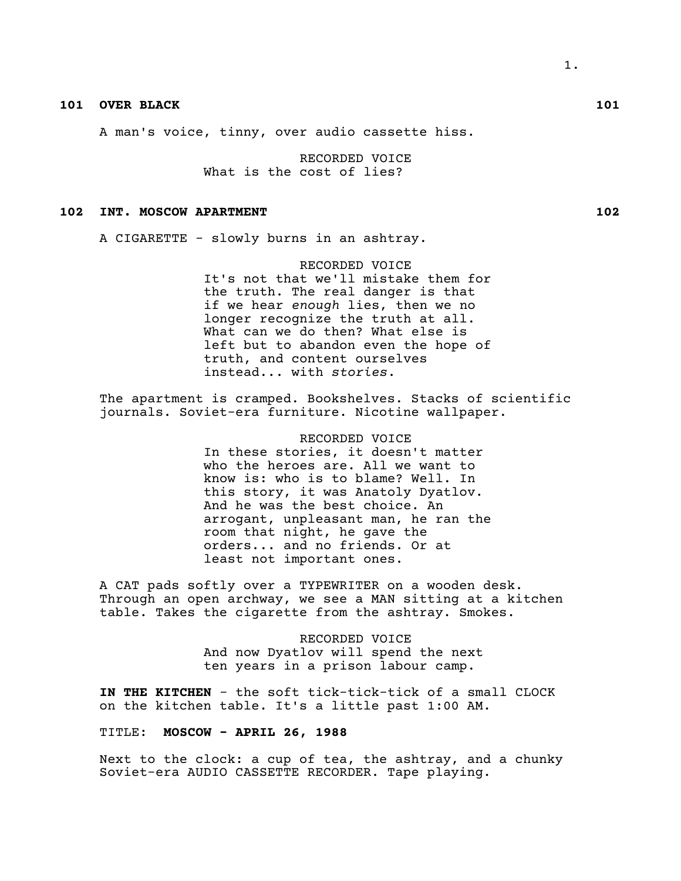# **101 OVER BLACK 101**

A man's voice, tinny, over audio cassette hiss.

RECORDED VOICE What is the cost of lies?

## **102 INT. MOSCOW APARTMENT 102**

A CIGARETTE - slowly burns in an ashtray.

RECORDED VOICE It's not that we'll mistake them for the truth. The real danger is that if we hear *enough* lies, then we no longer recognize the truth at all. What can we do then? What else is left but to abandon even the hope of truth, and content ourselves instead... with *stories*.

The apartment is cramped. Bookshelves. Stacks of scientific journals. Soviet-era furniture. Nicotine wallpaper.

> RECORDED VOICE In these stories, it doesn't matter who the heroes are. All we want to know is: who is to blame? Well. In this story, it was Anatoly Dyatlov. And he was the best choice. An arrogant, unpleasant man, he ran the room that night, he gave the orders... and no friends. Or at least not important ones.

A CAT pads softly over a TYPEWRITER on a wooden desk. Through an open archway, we see a MAN sitting at a kitchen table. Takes the cigarette from the ashtray. Smokes.

> RECORDED VOICE And now Dyatlov will spend the next ten years in a prison labour camp.

**IN THE KITCHEN** - the soft tick-tick-tick of a small CLOCK on the kitchen table. It's a little past 1:00 AM.

TITLE: **MOSCOW - APRIL 26, 1988**

Next to the clock: a cup of tea, the ashtray, and a chunky Soviet-era AUDIO CASSETTE RECORDER. Tape playing.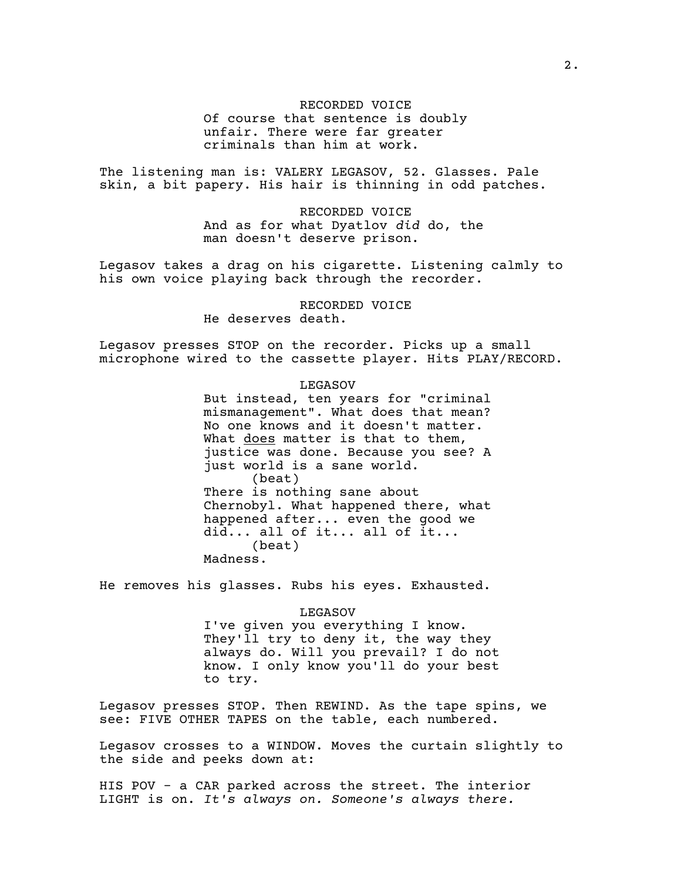RECORDED VOICE Of course that sentence is doubly unfair. There were far greater criminals than him at work.

The listening man is: VALERY LEGASOV, 52. Glasses. Pale skin, a bit papery. His hair is thinning in odd patches.

> RECORDED VOICE And as for what Dyatlov *did* do, the man doesn't deserve prison.

Legasov takes a drag on his cigarette. Listening calmly to his own voice playing back through the recorder.

> RECORDED VOICE He deserves death.

Legasov presses STOP on the recorder. Picks up a small microphone wired to the cassette player. Hits PLAY/RECORD.

LEGASOV

But instead, ten years for "criminal mismanagement". What does that mean? No one knows and it doesn't matter. What does matter is that to them, justice was done. Because you see? A just world is a sane world. (beat) There is nothing sane about Chernobyl. What happened there, what happened after... even the good we did... all of it... all of it... (beat) Madness.

He removes his glasses. Rubs his eyes. Exhausted.

LEGASOV I've given you everything I know. They'll try to deny it, the way they always do. Will you prevail? I do not know. I only know you'll do your best to try.

Legasov presses STOP. Then REWIND. As the tape spins, we see: FIVE OTHER TAPES on the table, each numbered.

Legasov crosses to a WINDOW. Moves the curtain slightly to the side and peeks down at:

HIS POV - a CAR parked across the street. The interior LIGHT is on. *It's always on. Someone's always there.*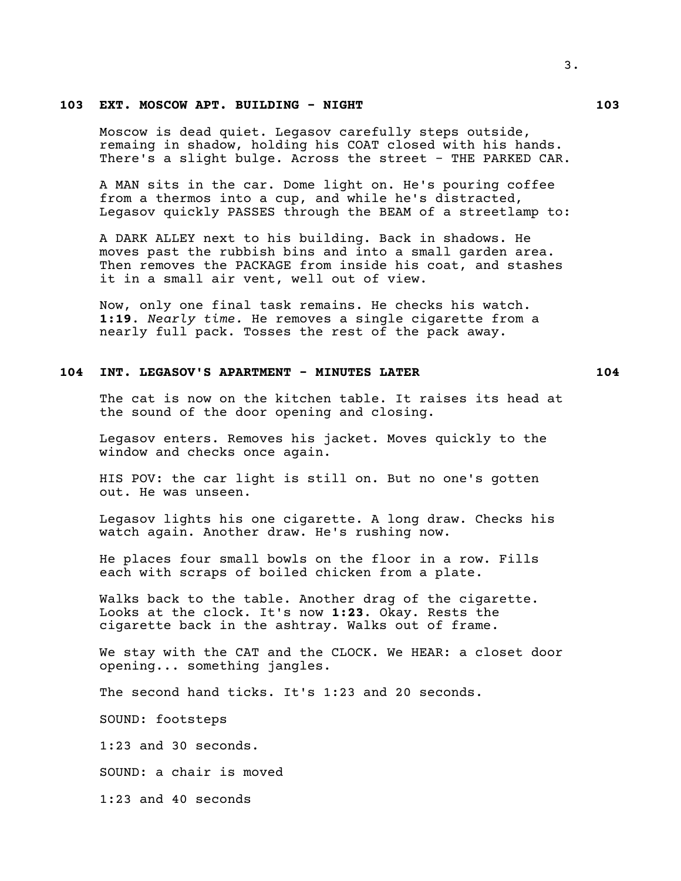## **103 EXT. MOSCOW APT. BUILDING - NIGHT 103**

Moscow is dead quiet. Legasov carefully steps outside, remaing in shadow, holding his COAT closed with his hands. There's a slight bulge. Across the street - THE PARKED CAR.

A MAN sits in the car. Dome light on. He's pouring coffee from a thermos into a cup, and while he's distracted, Legasov quickly PASSES through the BEAM of a streetlamp to:

A DARK ALLEY next to his building. Back in shadows. He moves past the rubbish bins and into a small garden area. Then removes the PACKAGE from inside his coat, and stashes it in a small air vent, well out of view.

Now, only one final task remains. He checks his watch. **1:19**. *Nearly time.* He removes a single cigarette from a nearly full pack. Tosses the rest of the pack away.

## **104 INT. LEGASOV'S APARTMENT - MINUTES LATER 104**

The cat is now on the kitchen table. It raises its head at the sound of the door opening and closing.

Legasov enters. Removes his jacket. Moves quickly to the window and checks once again.

HIS POV: the car light is still on. But no one's gotten out. He was unseen.

Legasov lights his one cigarette. A long draw. Checks his watch again. Another draw. He's rushing now.

He places four small bowls on the floor in a row. Fills each with scraps of boiled chicken from a plate.

Walks back to the table. Another drag of the cigarette. Looks at the clock. It's now **1:23**. Okay. Rests the cigarette back in the ashtray. Walks out of frame.

We stay with the CAT and the CLOCK. We HEAR: a closet door opening... something jangles.

The second hand ticks. It's 1:23 and 20 seconds.

SOUND: footsteps

1:23 and 30 seconds.

SOUND: a chair is moved

1:23 and 40 seconds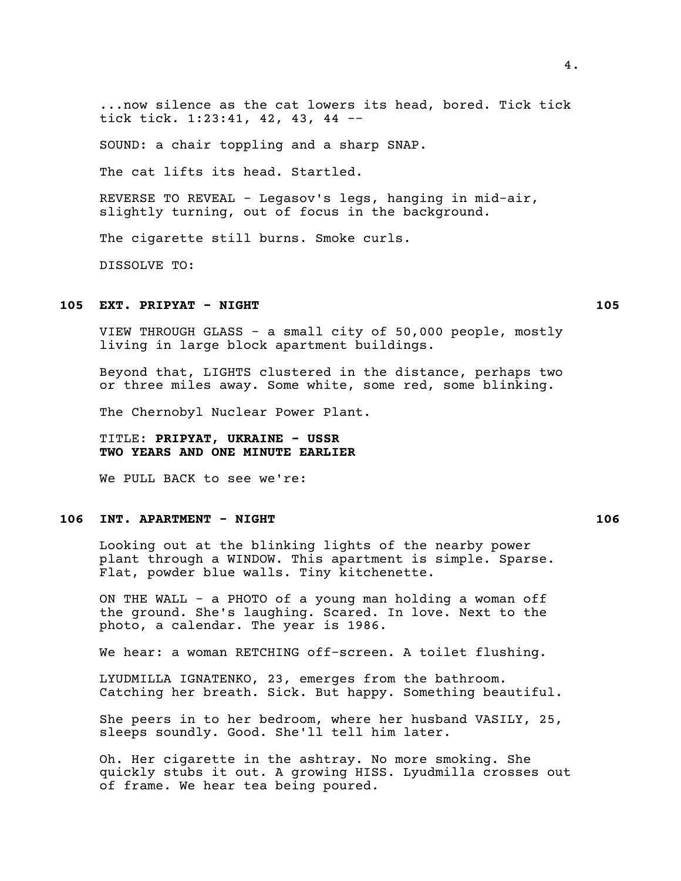...now silence as the cat lowers its head, bored. Tick tick tick tick. 1:23:41, 42, 43, 44 --

SOUND: a chair toppling and a sharp SNAP.

The cat lifts its head. Startled.

REVERSE TO REVEAL - Legasov's legs, hanging in mid-air, slightly turning, out of focus in the background.

The cigarette still burns. Smoke curls.

DISSOLVE TO:

## **105 EXT. PRIPYAT - NIGHT 105**

VIEW THROUGH GLASS - a small city of 50,000 people, mostly living in large block apartment buildings.

Beyond that, LIGHTS clustered in the distance, perhaps two or three miles away. Some white, some red, some blinking.

The Chernobyl Nuclear Power Plant.

TITLE: **PRIPYAT, UKRAINE - USSR TWO YEARS AND ONE MINUTE EARLIER**

We PULL BACK to see we're:

## **106 INT. APARTMENT - NIGHT 106**

Looking out at the blinking lights of the nearby power plant through a WINDOW. This apartment is simple. Sparse. Flat, powder blue walls. Tiny kitchenette.

ON THE WALL - a PHOTO of a young man holding a woman off the ground. She's laughing. Scared. In love. Next to the photo, a calendar. The year is 1986.

We hear: a woman RETCHING off-screen. A toilet flushing.

LYUDMILLA IGNATENKO, 23, emerges from the bathroom. Catching her breath. Sick. But happy. Something beautiful.

She peers in to her bedroom, where her husband VASILY, 25, sleeps soundly. Good. She'll tell him later.

Oh. Her cigarette in the ashtray. No more smoking. She quickly stubs it out. A growing HISS. Lyudmilla crosses out of frame. We hear tea being poured.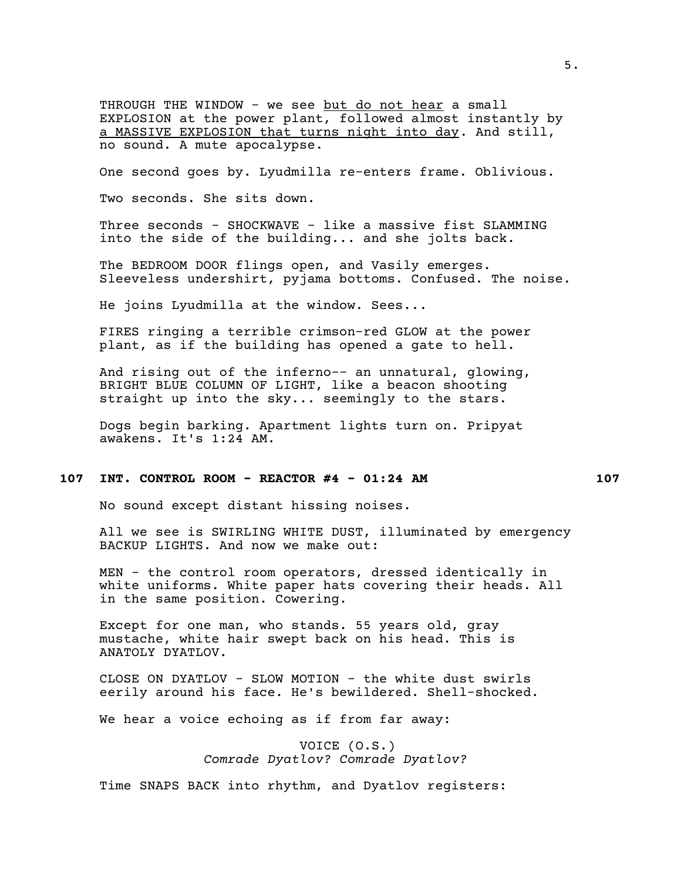THROUGH THE WINDOW - we see but do not hear a small EXPLOSION at the power plant, followed almost instantly by a MASSIVE EXPLOSION that turns night into day. And still, no sound. A mute apocalypse.

One second goes by. Lyudmilla re-enters frame. Oblivious.

Two seconds. She sits down.

Three seconds - SHOCKWAVE - like a massive fist SLAMMING into the side of the building... and she jolts back.

The BEDROOM DOOR flings open, and Vasily emerges. Sleeveless undershirt, pyjama bottoms. Confused. The noise.

He joins Lyudmilla at the window. Sees...

FIRES ringing a terrible crimson-red GLOW at the power plant, as if the building has opened a gate to hell.

And rising out of the inferno-- an unnatural, glowing, BRIGHT BLUE COLUMN OF LIGHT, like a beacon shooting straight up into the sky... seemingly to the stars.

Dogs begin barking. Apartment lights turn on. Pripyat awakens. It's 1:24 AM.

#### **107 INT. CONTROL ROOM - REACTOR #4 - 01:24 AM 107**

No sound except distant hissing noises.

All we see is SWIRLING WHITE DUST, illuminated by emergency BACKUP LIGHTS. And now we make out:

MEN - the control room operators, dressed identically in white uniforms. White paper hats covering their heads. All in the same position. Cowering.

Except for one man, who stands. 55 years old, gray mustache, white hair swept back on his head. This is ANATOLY DYATLOV.

CLOSE ON DYATLOV - SLOW MOTION - the white dust swirls eerily around his face. He's bewildered. Shell-shocked.

We hear a voice echoing as if from far away:

VOICE (O.S.) *Comrade Dyatlov? Comrade Dyatlov?*

Time SNAPS BACK into rhythm, and Dyatlov registers: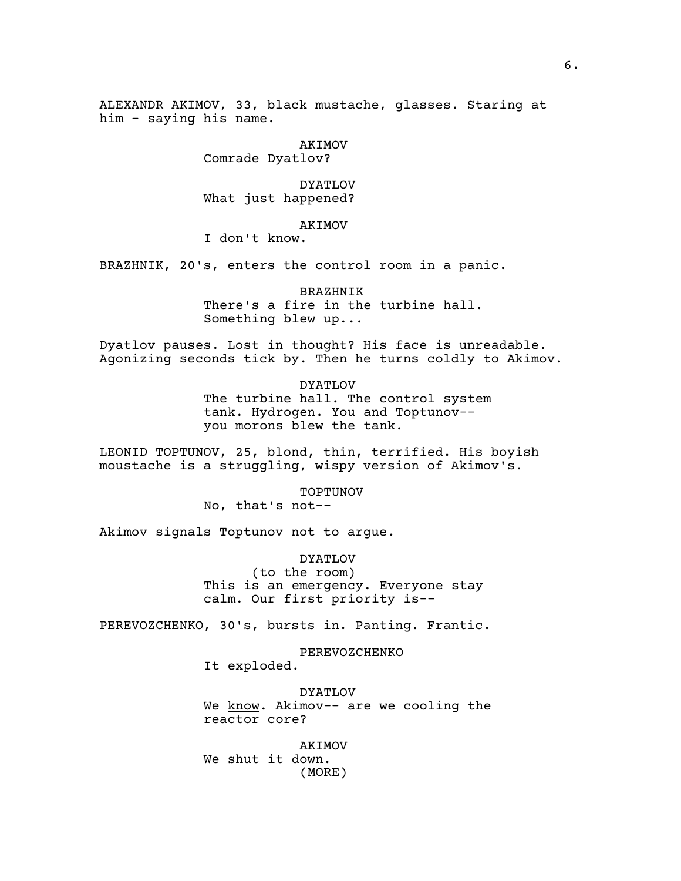ALEXANDR AKIMOV, 33, black mustache, glasses. Staring at him - saying his name.

> AKIMOV Comrade Dyatlov?

DYATLOV What just happened?

AKIMOV

I don't know.

BRAZHNIK, 20's, enters the control room in a panic.

BRAZHNIK There's a fire in the turbine hall. Something blew up...

Dyatlov pauses. Lost in thought? His face is unreadable. Agonizing seconds tick by. Then he turns coldly to Akimov.

> DYATLOV The turbine hall. The control system tank. Hydrogen. You and Toptunov--

you morons blew the tank.

LEONID TOPTUNOV, 25, blond, thin, terrified. His boyish moustache is a struggling, wispy version of Akimov's.

> TOPTUNOV No, that's not--

Akimov signals Toptunov not to argue.

DYATLOV (to the room) This is an emergency. Everyone stay calm. Our first priority is--

PEREVOZCHENKO, 30's, bursts in. Panting. Frantic.

PEREVOZCHENKO It exploded.

DYATLOV We know. Akimov-- are we cooling the reactor core?

AKIMOV We shut it down. (MORE)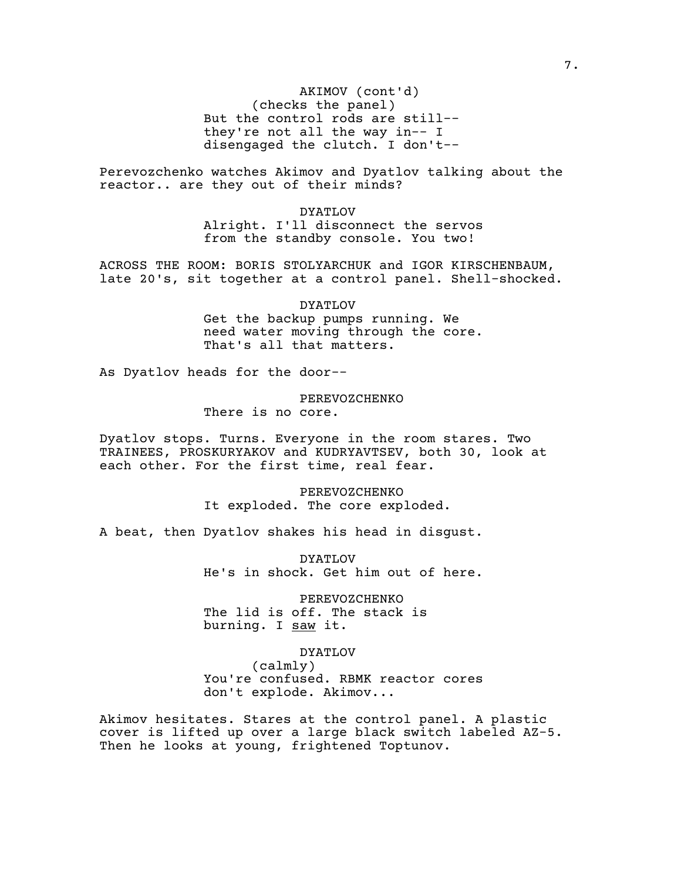(checks the panel) AKIMOV (cont'd) But the control rods are still- they're not all the way in-- I disengaged the clutch. I don't--

Perevozchenko watches Akimov and Dyatlov talking about the reactor.. are they out of their minds?

> DYATLOV Alright. I'll disconnect the servos from the standby console. You two!

ACROSS THE ROOM: BORIS STOLYARCHUK and IGOR KIRSCHENBAUM, late 20's, sit together at a control panel. Shell-shocked.

> DYATLOV Get the backup pumps running. We need water moving through the core. That's all that matters.

As Dyatlov heads for the door--

#### PEREVOZCHENKO

There is no core.

Dyatlov stops. Turns. Everyone in the room stares. Two TRAINEES, PROSKURYAKOV and KUDRYAVTSEV, both 30, look at each other. For the first time, real fear.

> PEREVOZCHENKO It exploded. The core exploded.

A beat, then Dyatlov shakes his head in disgust.

DYATLOV He's in shock. Get him out of here.

PEREVOZCHENKO The lid is off. The stack is burning. I saw it.

#### DYATLOV

(calmly) You're confused. RBMK reactor cores don't explode. Akimov...

Akimov hesitates. Stares at the control panel. A plastic cover is lifted up over a large black switch labeled AZ-5. Then he looks at young, frightened Toptunov.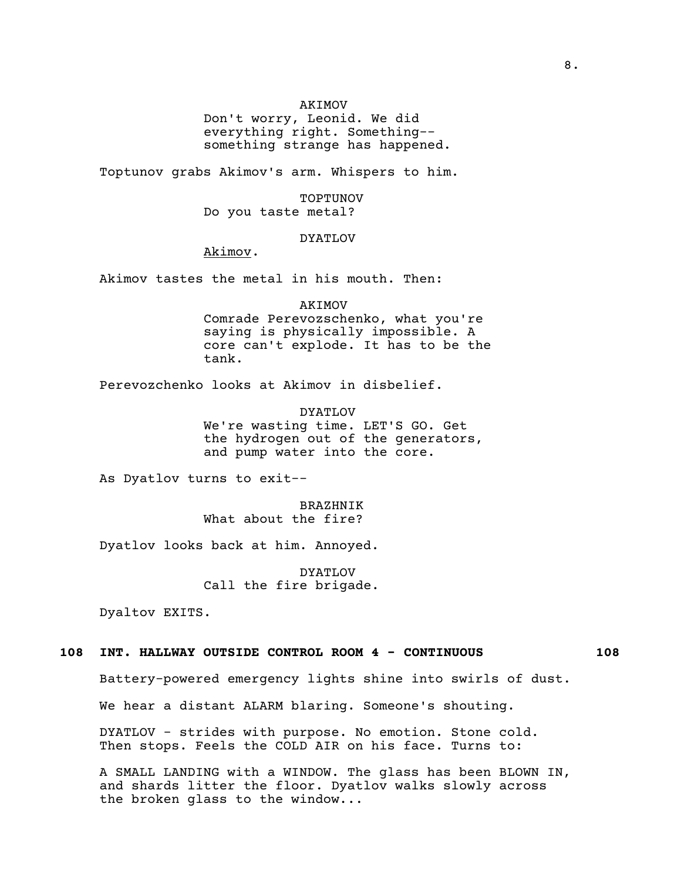## AKIMOV

Don't worry, Leonid. We did everything right. Something- something strange has happened.

Toptunov grabs Akimov's arm. Whispers to him.

TOPTUNOV Do you taste metal?

## DYATLOV

Akimov.

Akimov tastes the metal in his mouth. Then:

AKIMOV

Comrade Perevozschenko, what you're saying is physically impossible. A core can't explode. It has to be the tank.

Perevozchenko looks at Akimov in disbelief.

DYATLOV We're wasting time. LET'S GO. Get the hydrogen out of the generators, and pump water into the core.

As Dyatlov turns to exit--

BRAZHNIK What about the fire?

Dyatlov looks back at him. Annoyed.

DYATLOV Call the fire brigade.

Dyaltov EXITS.

## **108 INT. HALLWAY OUTSIDE CONTROL ROOM 4 - CONTINUOUS 108**

Battery-powered emergency lights shine into swirls of dust.

We hear a distant ALARM blaring. Someone's shouting.

DYATLOV - strides with purpose. No emotion. Stone cold. Then stops. Feels the COLD AIR on his face. Turns to:

A SMALL LANDING with a WINDOW. The glass has been BLOWN IN, and shards litter the floor. Dyatlov walks slowly across the broken glass to the window...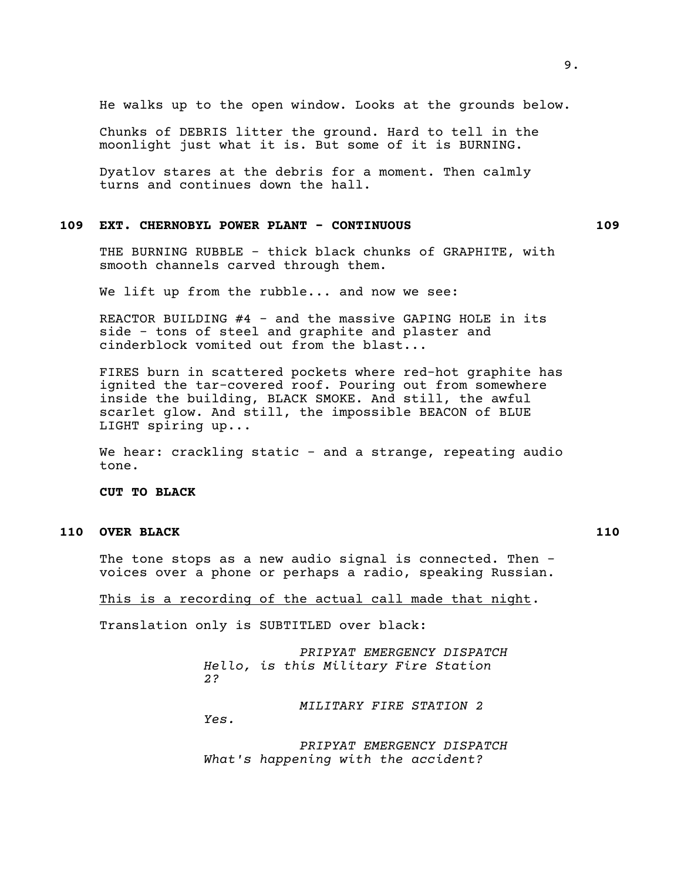He walks up to the open window. Looks at the grounds below.

Chunks of DEBRIS litter the ground. Hard to tell in the moonlight just what it is. But some of it is BURNING.

Dyatlov stares at the debris for a moment. Then calmly turns and continues down the hall.

# **109 EXT. CHERNOBYL POWER PLANT - CONTINUOUS 109**

THE BURNING RUBBLE - thick black chunks of GRAPHITE, with smooth channels carved through them.

We lift up from the rubble... and now we see:

REACTOR BUILDING #4 - and the massive GAPING HOLE in its side - tons of steel and graphite and plaster and cinderblock vomited out from the blast...

FIRES burn in scattered pockets where red-hot graphite has ignited the tar-covered roof. Pouring out from somewhere inside the building, BLACK SMOKE. And still, the awful scarlet glow. And still, the impossible BEACON of BLUE LIGHT spiring up...

We hear: crackling static - and a strange, repeating audio tone.

**CUT TO BLACK**

# **110 OVER BLACK 110**

The tone stops as a new audio signal is connected. Then voices over a phone or perhaps a radio, speaking Russian.

### This is a recording of the actual call made that night.

Translation only is SUBTITLED over black:

*PRIPYAT EMERGENCY DISPATCH Hello, is this Military Fire Station 2?*

*MILITARY FIRE STATION 2 Yes.*

*PRIPYAT EMERGENCY DISPATCH What's happening with the accident?*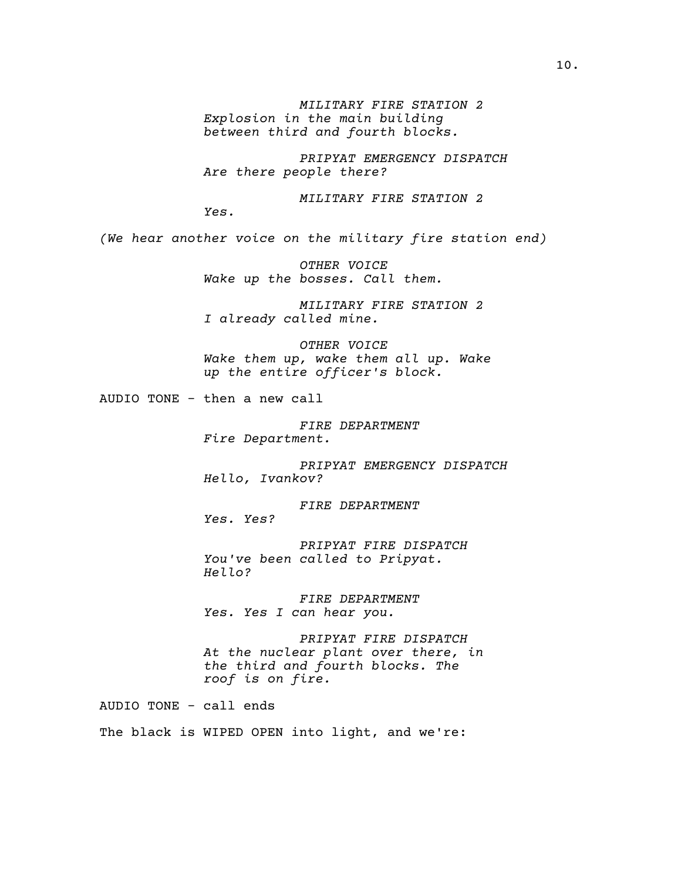*MILITARY FIRE STATION 2 Explosion in the main building between third and fourth blocks.*

*PRIPYAT EMERGENCY DISPATCH Are there people there?*

*MILITARY FIRE STATION 2*

*Yes.*

*(We hear another voice on the military fire station end)*

*OTHER VOICE Wake up the bosses. Call them.*

*MILITARY FIRE STATION 2 I already called mine.*

*OTHER VOICE Wake them up, wake them all up. Wake up the entire officer's block.*

AUDIO TONE - then a new call

*FIRE DEPARTMENT Fire Department.*

*PRIPYAT EMERGENCY DISPATCH Hello, Ivankov?*

*FIRE DEPARTMENT Yes. Yes?*

*PRIPYAT FIRE DISPATCH You've been called to Pripyat. Hello?*

*FIRE DEPARTMENT Yes. Yes I can hear you.*

*PRIPYAT FIRE DISPATCH At the nuclear plant over there, in the third and fourth blocks. The roof is on fire.*

AUDIO TONE - call ends

The black is WIPED OPEN into light, and we're: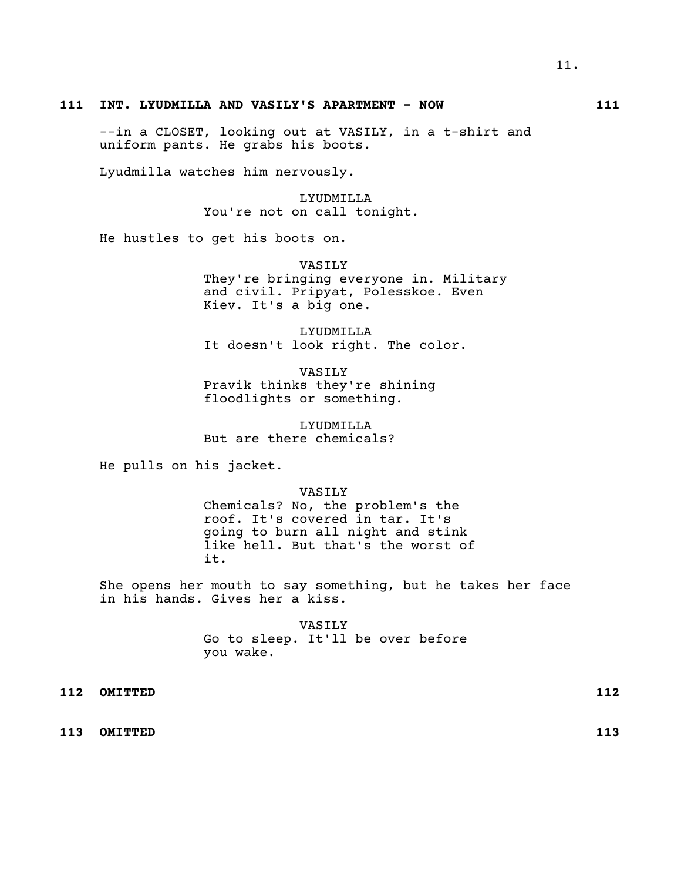## **111 INT. LYUDMILLA AND VASILY'S APARTMENT - NOW 111**

--in a CLOSET, looking out at VASILY, in a t-shirt and uniform pants. He grabs his boots.

Lyudmilla watches him nervously.

LYUDMILLA You're not on call tonight.

He hustles to get his boots on.

VASILY They're bringing everyone in. Military and civil. Pripyat, Polesskoe. Even Kiev. It's a big one.

LYUDMILLA It doesn't look right. The color.

VASILY Pravik thinks they're shining floodlights or something.

LYUDMILLA But are there chemicals?

He pulls on his jacket.

VASILY

Chemicals? No, the problem's the roof. It's covered in tar. It's going to burn all night and stink like hell. But that's the worst of it.

She opens her mouth to say something, but he takes her face in his hands. Gives her a kiss.

> VASILY Go to sleep. It'll be over before you wake.

**112 OMITTED 112**

**113 OMITTED 113**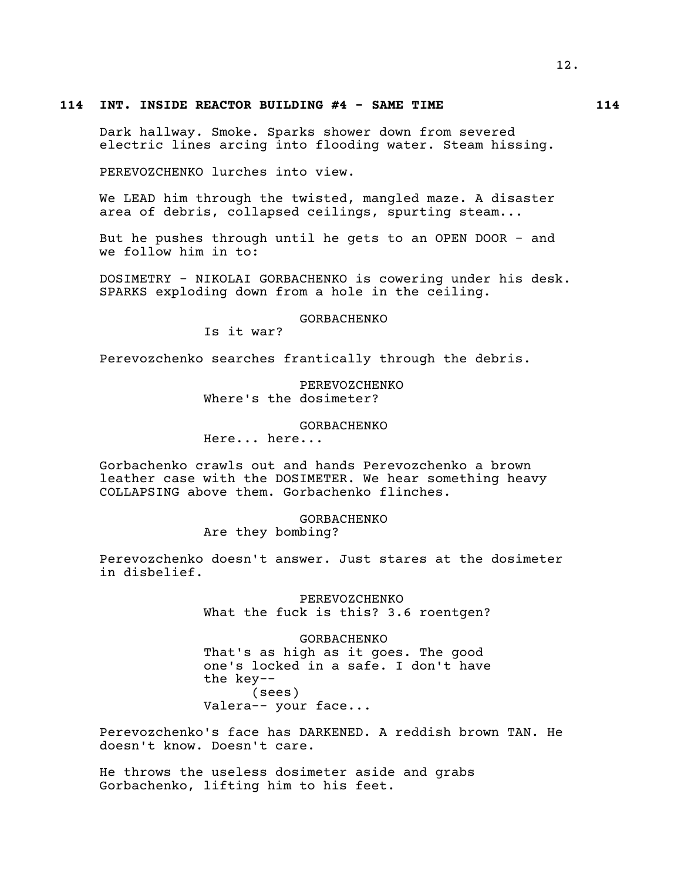## **114 INT. INSIDE REACTOR BUILDING #4 - SAME TIME 114**

Dark hallway. Smoke. Sparks shower down from severed electric lines arcing into flooding water. Steam hissing.

PEREVOZCHENKO lurches into view.

We LEAD him through the twisted, mangled maze. A disaster area of debris, collapsed ceilings, spurting steam...

But he pushes through until he gets to an OPEN DOOR - and we follow him in to:

DOSIMETRY - NIKOLAI GORBACHENKO is cowering under his desk. SPARKS exploding down from a hole in the ceiling.

GORBACHENKO

Is it war?

Perevozchenko searches frantically through the debris.

## PEREVOZCHENKO Where's the dosimeter?

## GORBACHENKO

Here... here...

Gorbachenko crawls out and hands Perevozchenko a brown leather case with the DOSIMETER. We hear something heavy COLLAPSING above them. Gorbachenko flinches.

# GORBACHENKO

Are they bombing?

Perevozchenko doesn't answer. Just stares at the dosimeter in disbelief.

> PEREVOZCHENKO What the fuck is this? 3.6 roentgen?

> GORBACHENKO That's as high as it goes. The good one's locked in a safe. I don't have the key-- (sees) Valera-- your face...

Perevozchenko's face has DARKENED. A reddish brown TAN. He doesn't know. Doesn't care.

He throws the useless dosimeter aside and grabs Gorbachenko, lifting him to his feet.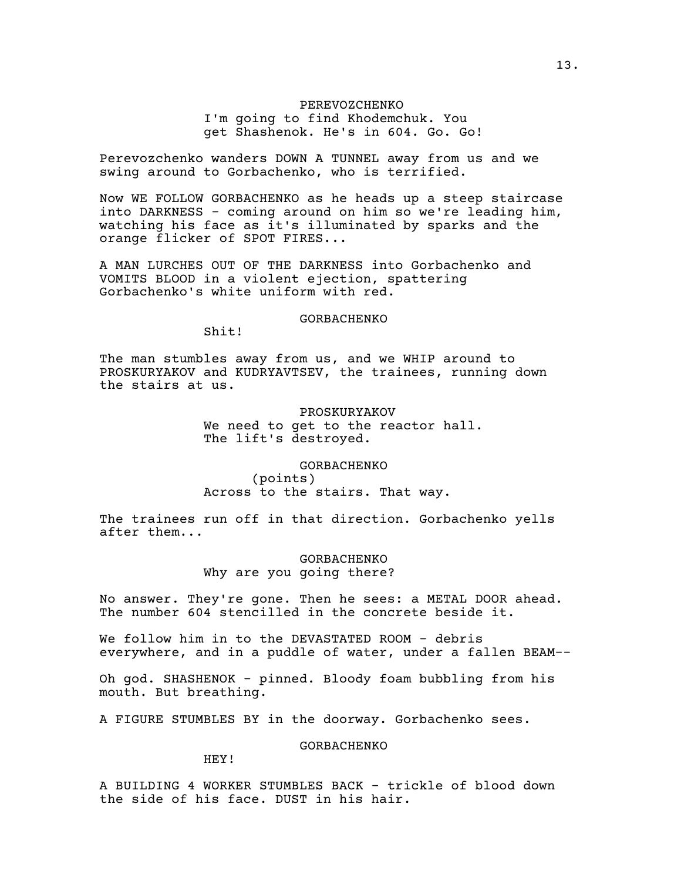## PEREVOZCHENKO I'm going to find Khodemchuk. You get Shashenok. He's in 604. Go. Go!

Perevozchenko wanders DOWN A TUNNEL away from us and we swing around to Gorbachenko, who is terrified.

Now WE FOLLOW GORBACHENKO as he heads up a steep staircase into DARKNESS - coming around on him so we're leading him, watching his face as it's illuminated by sparks and the orange flicker of SPOT FIRES...

A MAN LURCHES OUT OF THE DARKNESS into Gorbachenko and VOMITS BLOOD in a violent ejection, spattering Gorbachenko's white uniform with red.

# GORBACHENKO

Shit!

The man stumbles away from us, and we WHIP around to PROSKURYAKOV and KUDRYAVTSEV, the trainees, running down the stairs at us.

> PROSKURYAKOV We need to get to the reactor hall. The lift's destroyed.

GORBACHENKO (points) Across to the stairs. That way.

The trainees run off in that direction. Gorbachenko yells after them...

# GORBACHENKO

Why are you going there?

No answer. They're gone. Then he sees: a METAL DOOR ahead. The number 604 stencilled in the concrete beside it.

We follow him in to the DEVASTATED ROOM - debris everywhere, and in a puddle of water, under a fallen BEAM--

Oh god. SHASHENOK - pinned. Bloody foam bubbling from his mouth. But breathing.

A FIGURE STUMBLES BY in the doorway. Gorbachenko sees.

GORBACHENKO

HEY!

A BUILDING 4 WORKER STUMBLES BACK - trickle of blood down the side of his face. DUST in his hair.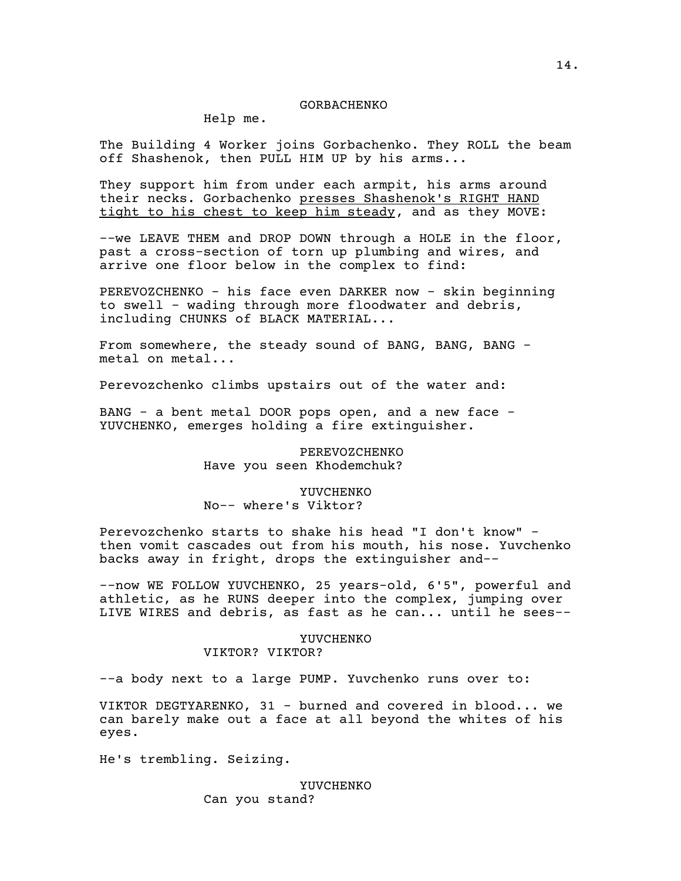#### GORBACHENKO

Help me.

The Building 4 Worker joins Gorbachenko. They ROLL the beam off Shashenok, then PULL HIM UP by his arms...

They support him from under each armpit, his arms around their necks. Gorbachenko presses Shashenok's RIGHT HAND tight to his chest to keep him steady, and as they MOVE:

--we LEAVE THEM and DROP DOWN through a HOLE in the floor, past a cross-section of torn up plumbing and wires, and arrive one floor below in the complex to find:

PEREVOZCHENKO - his face even DARKER now - skin beginning to swell - wading through more floodwater and debris, including CHUNKS of BLACK MATERIAL...

From somewhere, the steady sound of BANG, BANG, BANG metal on metal...

Perevozchenko climbs upstairs out of the water and:

BANG - a bent metal DOOR pops open, and a new face - YUVCHENKO, emerges holding a fire extinguisher.

> PEREVOZCHENKO Have you seen Khodemchuk?

## YUVCHENKO No-- where's Viktor?

Perevozchenko starts to shake his head "I don't know" then vomit cascades out from his mouth, his nose. Yuvchenko backs away in fright, drops the extinguisher and--

--now WE FOLLOW YUVCHENKO, 25 years-old, 6'5", powerful and athletic, as he RUNS deeper into the complex, jumping over LIVE WIRES and debris, as fast as he can... until he sees--

### YUVCHENKO

VIKTOR? VIKTOR?

--a body next to a large PUMP. Yuvchenko runs over to:

VIKTOR DEGTYARENKO, 31 - burned and covered in blood... we can barely make out a face at all beyond the whites of his eyes.

He's trembling. Seizing.

YUVCHENKO Can you stand?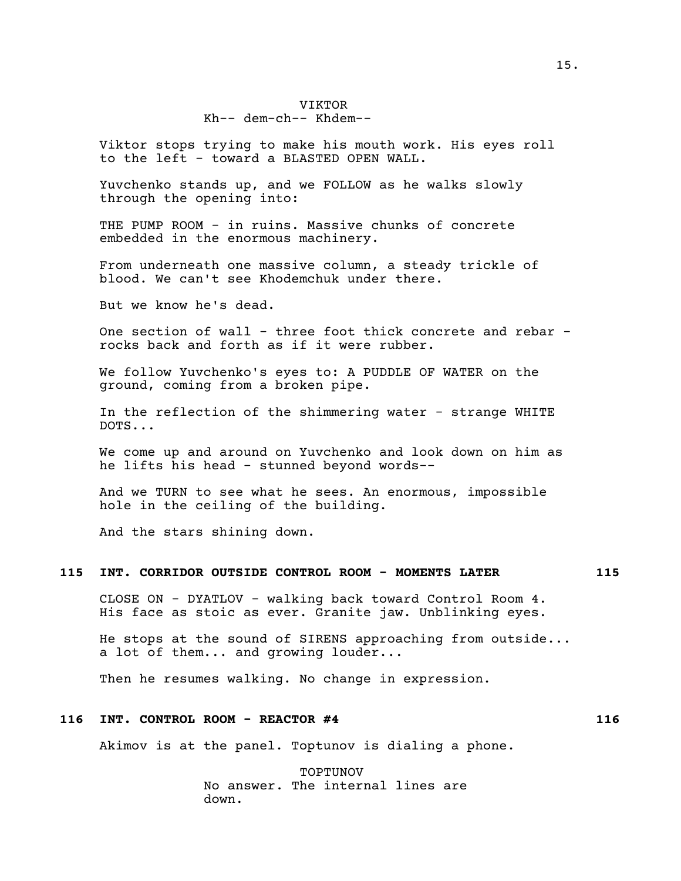### VIKTOR

## Kh-- dem-ch-- Khdem--

Viktor stops trying to make his mouth work. His eyes roll to the left - toward a BLASTED OPEN WALL.

Yuvchenko stands up, and we FOLLOW as he walks slowly through the opening into:

THE PUMP ROOM - in ruins. Massive chunks of concrete embedded in the enormous machinery.

From underneath one massive column, a steady trickle of blood. We can't see Khodemchuk under there.

But we know he's dead.

One section of wall - three foot thick concrete and rebar rocks back and forth as if it were rubber.

We follow Yuvchenko's eyes to: A PUDDLE OF WATER on the ground, coming from a broken pipe.

In the reflection of the shimmering water - strange WHITE DOTS...

We come up and around on Yuvchenko and look down on him as he lifts his head - stunned beyond words--

And we TURN to see what he sees. An enormous, impossible hole in the ceiling of the building.

And the stars shining down.

## **115 INT. CORRIDOR OUTSIDE CONTROL ROOM - MOMENTS LATER 115**

CLOSE ON - DYATLOV - walking back toward Control Room 4. His face as stoic as ever. Granite jaw. Unblinking eyes.

He stops at the sound of SIRENS approaching from outside... a lot of them... and growing louder...

Then he resumes walking. No change in expression.

## **116 INT. CONTROL ROOM - REACTOR #4 116**

Akimov is at the panel. Toptunov is dialing a phone.

TOPTUNOV No answer. The internal lines are down.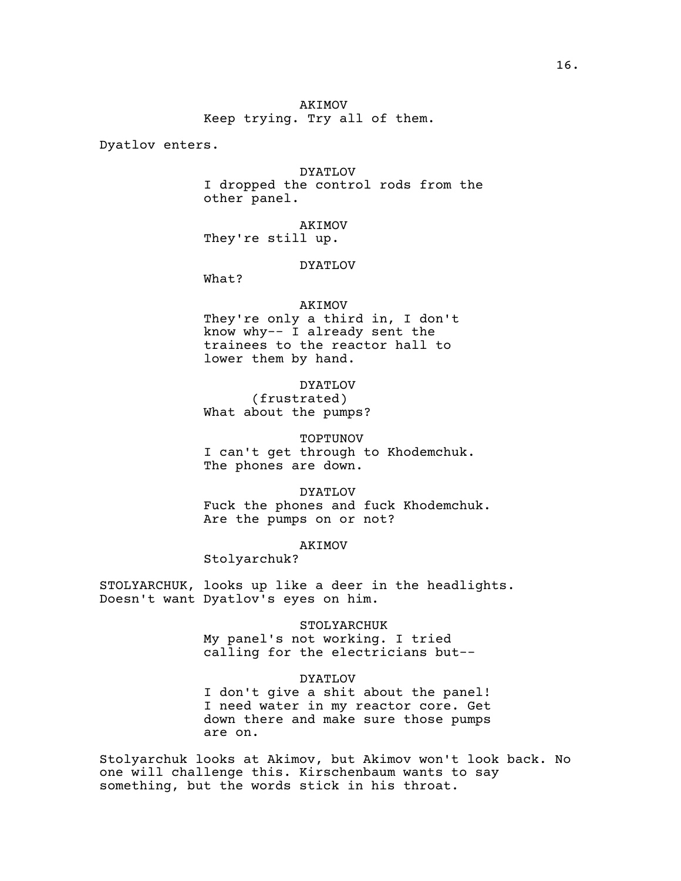Dyatlov enters.

# DYATLOV I dropped the control rods from the

other panel.

AKIMOV They're still up.

#### DYATLOV

What?

### AKIMOV

They're only a third in, I don't know why-- I already sent the trainees to the reactor hall to lower them by hand.

DYATLOV (frustrated) What about the pumps?

TOPTUNOV I can't get through to Khodemchuk. The phones are down.

DYATLOV Fuck the phones and fuck Khodemchuk. Are the pumps on or not?

AKIMOV

Stolyarchuk?

STOLYARCHUK, looks up like a deer in the headlights. Doesn't want Dyatlov's eyes on him.

> STOLYARCHUK My panel's not working. I tried calling for the electricians but--

> > DYATLOV

I don't give a shit about the panel! I need water in my reactor core. Get down there and make sure those pumps are on.

Stolyarchuk looks at Akimov, but Akimov won't look back. No one will challenge this. Kirschenbaum wants to say something, but the words stick in his throat.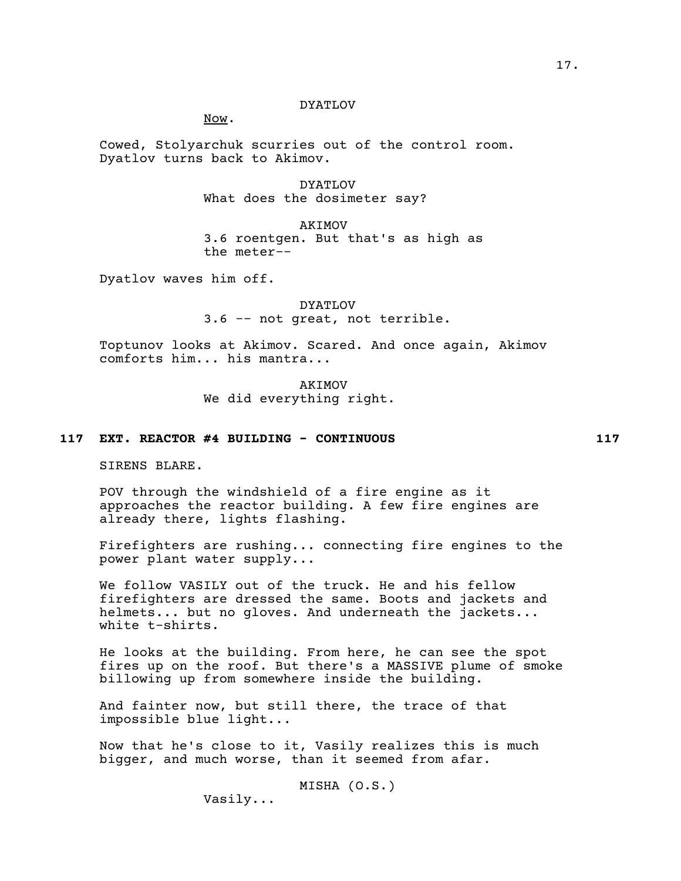#### DYATLOV

Now.

Cowed, Stolyarchuk scurries out of the control room. Dyatlov turns back to Akimov.

> DYATLOV What does the dosimeter say?

AKIMOV 3.6 roentgen. But that's as high as the meter--

Dyatlov waves him off.

DYATLOV 3.6 -- not great, not terrible.

Toptunov looks at Akimov. Scared. And once again, Akimov comforts him... his mantra...

> AKIMOV We did everything right.

## **117 EXT. REACTOR #4 BUILDING - CONTINUOUS 117**

SIRENS BLARE.

POV through the windshield of a fire engine as it approaches the reactor building. A few fire engines are already there, lights flashing.

Firefighters are rushing... connecting fire engines to the power plant water supply...

We follow VASILY out of the truck. He and his fellow firefighters are dressed the same. Boots and jackets and helmets... but no gloves. And underneath the jackets... white t-shirts.

He looks at the building. From here, he can see the spot fires up on the roof. But there's a MASSIVE plume of smoke billowing up from somewhere inside the building.

And fainter now, but still there, the trace of that impossible blue light...

Now that he's close to it, Vasily realizes this is much bigger, and much worse, than it seemed from afar.

> MISHA (O.S.) Vasily...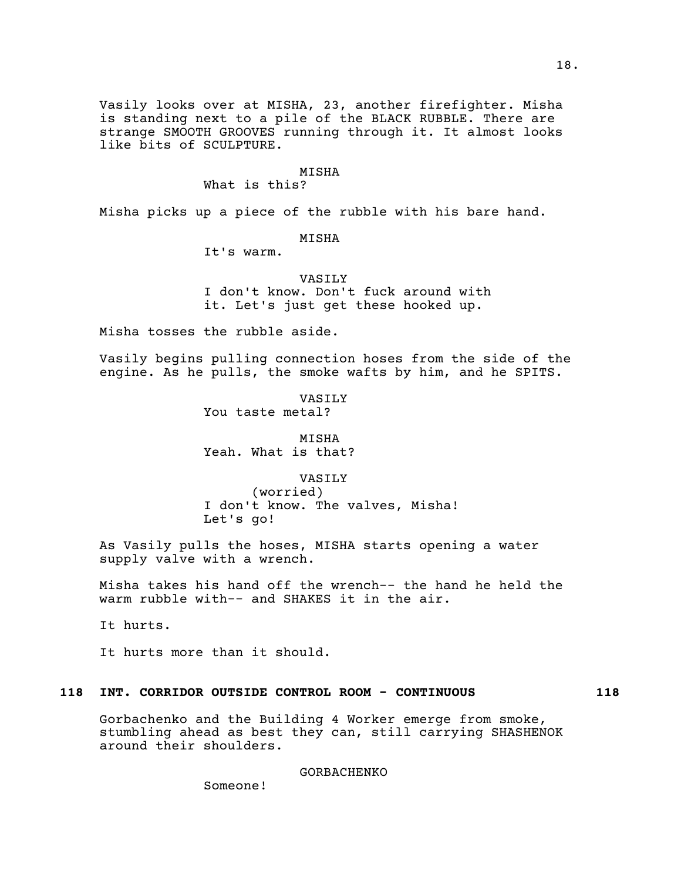Vasily looks over at MISHA, 23, another firefighter. Misha is standing next to a pile of the BLACK RUBBLE. There are strange SMOOTH GROOVES running through it. It almost looks like bits of SCULPTURE.

#### MISHA

What is this?

Misha picks up a piece of the rubble with his bare hand.

MISHA

It's warm.

VASILY I don't know. Don't fuck around with it. Let's just get these hooked up.

Misha tosses the rubble aside.

Vasily begins pulling connection hoses from the side of the engine. As he pulls, the smoke wafts by him, and he SPITS.

> VASILY You taste metal?

**MTSHA** Yeah. What is that?

VASILY (worried) I don't know. The valves, Misha! Let's go!

As Vasily pulls the hoses, MISHA starts opening a water supply valve with a wrench.

Misha takes his hand off the wrench-- the hand he held the warm rubble with-- and SHAKES it in the air.

It hurts.

It hurts more than it should.

## **118 INT. CORRIDOR OUTSIDE CONTROL ROOM - CONTINUOUS 118**

Gorbachenko and the Building 4 Worker emerge from smoke, stumbling ahead as best they can, still carrying SHASHENOK around their shoulders.

GORBACHENKO

Someone!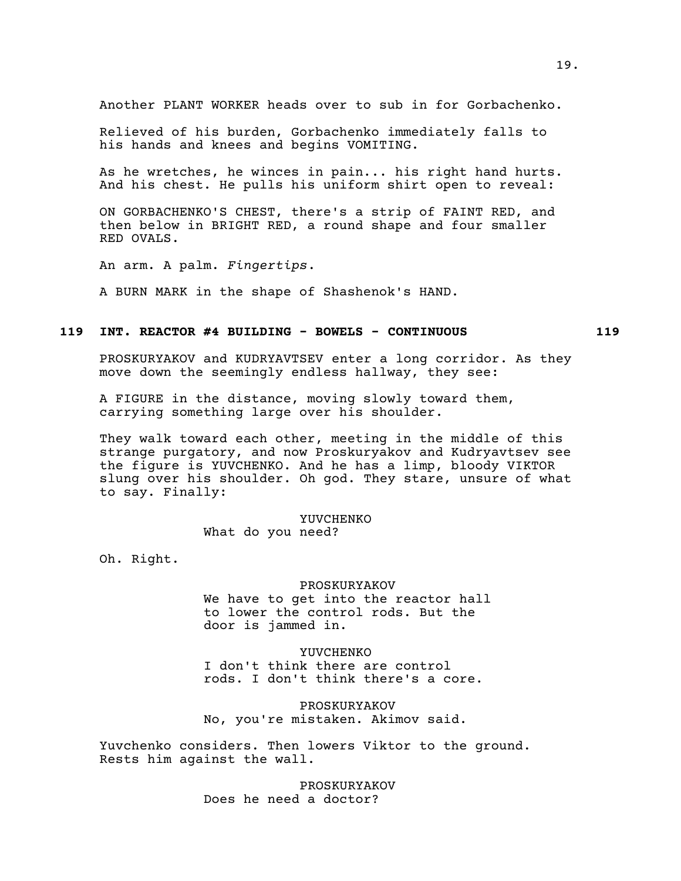Another PLANT WORKER heads over to sub in for Gorbachenko.

Relieved of his burden, Gorbachenko immediately falls to his hands and knees and begins VOMITING.

As he wretches, he winces in pain... his right hand hurts. And his chest. He pulls his uniform shirt open to reveal:

ON GORBACHENKO'S CHEST, there's a strip of FAINT RED, and then below in BRIGHT RED, a round shape and four smaller RED OVALS.

An arm. A palm. *Fingertips*.

A BURN MARK in the shape of Shashenok's HAND.

## **119 INT. REACTOR #4 BUILDING - BOWELS - CONTINUOUS 119**

PROSKURYAKOV and KUDRYAVTSEV enter a long corridor. As they move down the seemingly endless hallway, they see:

A FIGURE in the distance, moving slowly toward them, carrying something large over his shoulder.

They walk toward each other, meeting in the middle of this strange purgatory, and now Proskuryakov and Kudryavtsev see the figure is YUVCHENKO. And he has a limp, bloody VIKTOR slung over his shoulder. Oh god. They stare, unsure of what to say. Finally:

YUVCHENKO

What do you need?

Oh. Right.

#### PROSKURYAKOV

We have to get into the reactor hall to lower the control rods. But the door is jammed in.

YUVCHENKO I don't think there are control rods. I don't think there's a core.

PROSKURYAKOV No, you're mistaken. Akimov said.

Yuvchenko considers. Then lowers Viktor to the ground. Rests him against the wall.

> PROSKURYAKOV Does he need a doctor?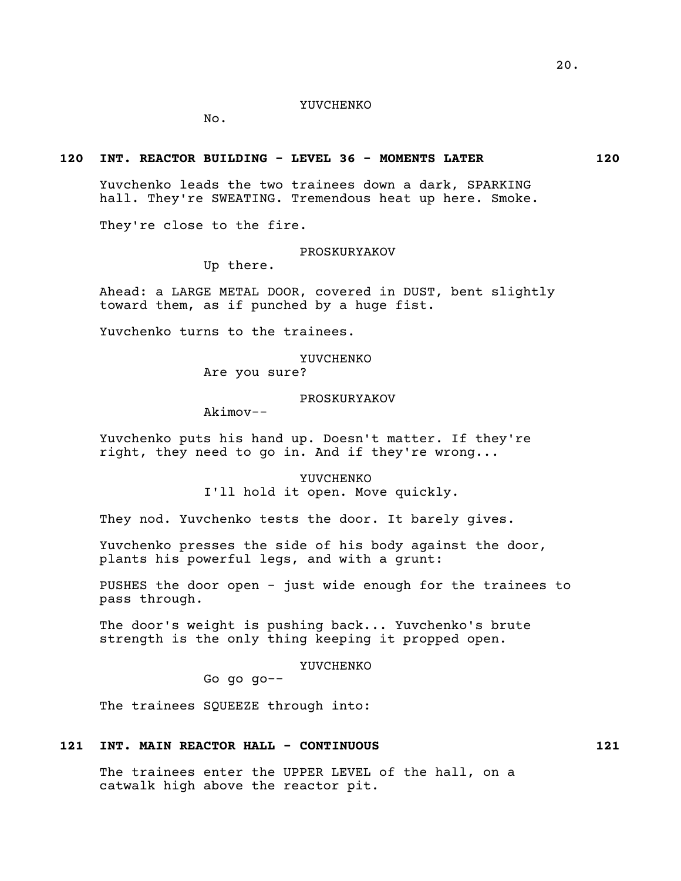## YUVCHENKO

No.

## **120 INT. REACTOR BUILDING - LEVEL 36 - MOMENTS LATER 120**

Yuvchenko leads the two trainees down a dark, SPARKING hall. They're SWEATING. Tremendous heat up here. Smoke.

They're close to the fire.

#### PROSKURYAKOV

Up there.

Ahead: a LARGE METAL DOOR, covered in DUST, bent slightly toward them, as if punched by a huge fist.

Yuvchenko turns to the trainees.

YUVCHENKO

Are you sure?

#### PROSKURYAKOV

Akimov--

Yuvchenko puts his hand up. Doesn't matter. If they're right, they need to go in. And if they're wrong...

> YUVCHENKO I'll hold it open. Move quickly.

They nod. Yuvchenko tests the door. It barely gives.

Yuvchenko presses the side of his body against the door, plants his powerful legs, and with a grunt:

PUSHES the door open - just wide enough for the trainees to pass through.

The door's weight is pushing back... Yuvchenko's brute strength is the only thing keeping it propped open.

YUVCHENKO

Go go go--

The trainees SQUEEZE through into:

## **121 INT. MAIN REACTOR HALL - CONTINUOUS 121**

The trainees enter the UPPER LEVEL of the hall, on a catwalk high above the reactor pit.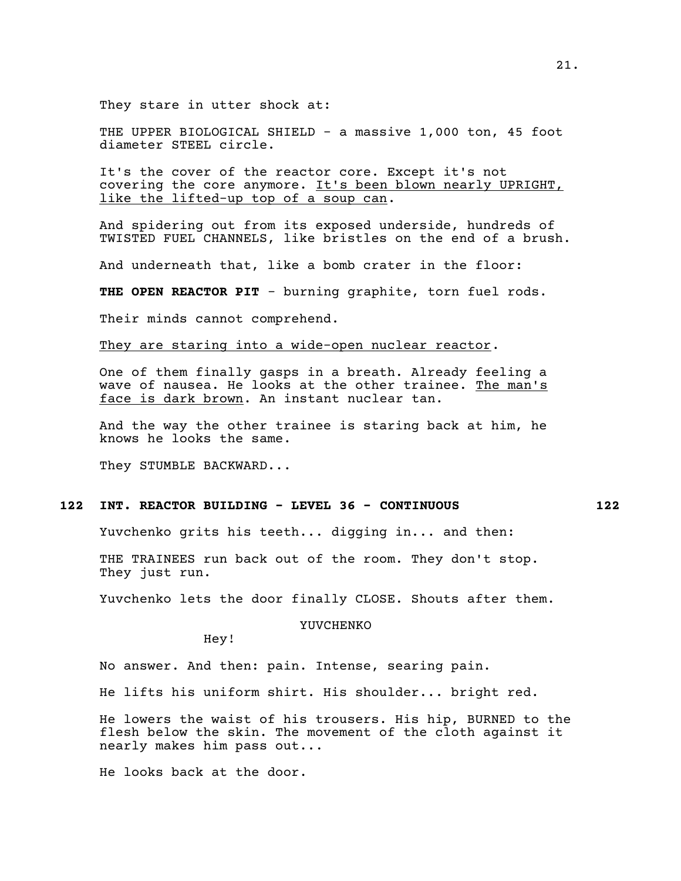They stare in utter shock at:

THE UPPER BIOLOGICAL SHIELD - a massive 1,000 ton, 45 foot diameter STEEL circle.

It's the cover of the reactor core. Except it's not covering the core anymore. It's been blown nearly UPRIGHT, like the lifted-up top of a soup can.

And spidering out from its exposed underside, hundreds of TWISTED FUEL CHANNELS, like bristles on the end of a brush.

And underneath that, like a bomb crater in the floor:

**THE OPEN REACTOR PIT** - burning graphite, torn fuel rods.

Their minds cannot comprehend.

They are staring into a wide-open nuclear reactor.

One of them finally gasps in a breath. Already feeling a wave of nausea. He looks at the other trainee. The man's face is dark brown. An instant nuclear tan.

And the way the other trainee is staring back at him, he knows he looks the same.

They STUMBLE BACKWARD...

## **122 INT. REACTOR BUILDING - LEVEL 36 - CONTINUOUS 122**

Yuvchenko grits his teeth... digging in... and then:

THE TRAINEES run back out of the room. They don't stop. They just run.

Yuvchenko lets the door finally CLOSE. Shouts after them.

YUVCHENKO

Hey!

No answer. And then: pain. Intense, searing pain.

He lifts his uniform shirt. His shoulder... bright red.

He lowers the waist of his trousers. His hip, BURNED to the flesh below the skin. The movement of the cloth against it nearly makes him pass out...

He looks back at the door.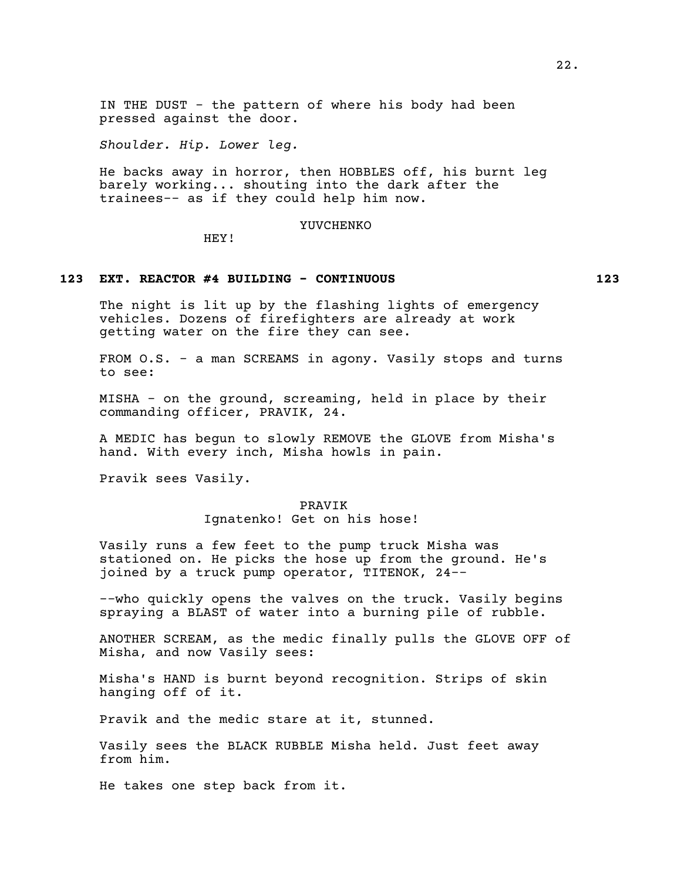IN THE DUST - the pattern of where his body had been pressed against the door.

*Shoulder. Hip. Lower leg.*

He backs away in horror, then HOBBLES off, his burnt leg barely working... shouting into the dark after the trainees-- as if they could help him now.

YUVCHENKO

HEY!

## **123 EXT. REACTOR #4 BUILDING - CONTINUOUS 123**

The night is lit up by the flashing lights of emergency vehicles. Dozens of firefighters are already at work getting water on the fire they can see.

FROM O.S. - a man SCREAMS in agony. Vasily stops and turns to see:

MISHA - on the ground, screaming, held in place by their commanding officer, PRAVIK, 24.

A MEDIC has begun to slowly REMOVE the GLOVE from Misha's hand. With every inch, Misha howls in pain.

Pravik sees Vasily.

PRAVIK

Ignatenko! Get on his hose!

Vasily runs a few feet to the pump truck Misha was stationed on. He picks the hose up from the ground. He's joined by a truck pump operator, TITENOK, 24--

--who quickly opens the valves on the truck. Vasily begins spraying a BLAST of water into a burning pile of rubble.

ANOTHER SCREAM, as the medic finally pulls the GLOVE OFF of Misha, and now Vasily sees:

Misha's HAND is burnt beyond recognition. Strips of skin hanging off of it.

Pravik and the medic stare at it, stunned.

Vasily sees the BLACK RUBBLE Misha held. Just feet away from him.

He takes one step back from it.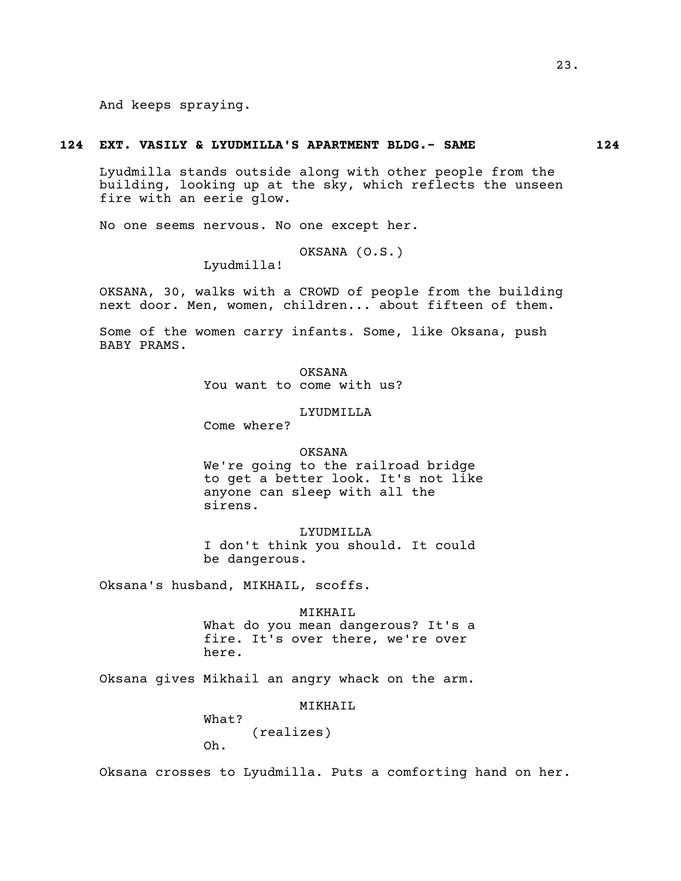And keeps spraying.

#### **124 EXT. VASILY & LYUDMILLA'S APARTMENT BLDG.- SAME 124**

Lyudmilla stands outside along with other people from the building, looking up at the sky, which reflects the unseen fire with an eerie glow.

No one seems nervous. No one except her.

OKSANA (O.S.)

Lyudmilla!

OKSANA, 30, walks with a CROWD of people from the building next door. Men, women, children... about fifteen of them.

Some of the women carry infants. Some, like Oksana, push BABY PRAMS.

> OKSANA You want to come with us?

> > LYUDMILLA

Come where?

#### OKSANA

We're going to the railroad bridge to get a better look. It's not like anyone can sleep with all the sirens.

LYUDMILLA I don't think you should. It could be dangerous.

Oksana's husband, MIKHAIL, scoffs.

MIKHAIL

What do you mean dangerous? It's a fire. It's over there, we're over here.

Oksana gives Mikhail an angry whack on the arm.

MIKHAIL

What? (realizes)

Oh.

Oksana crosses to Lyudmilla. Puts a comforting hand on her.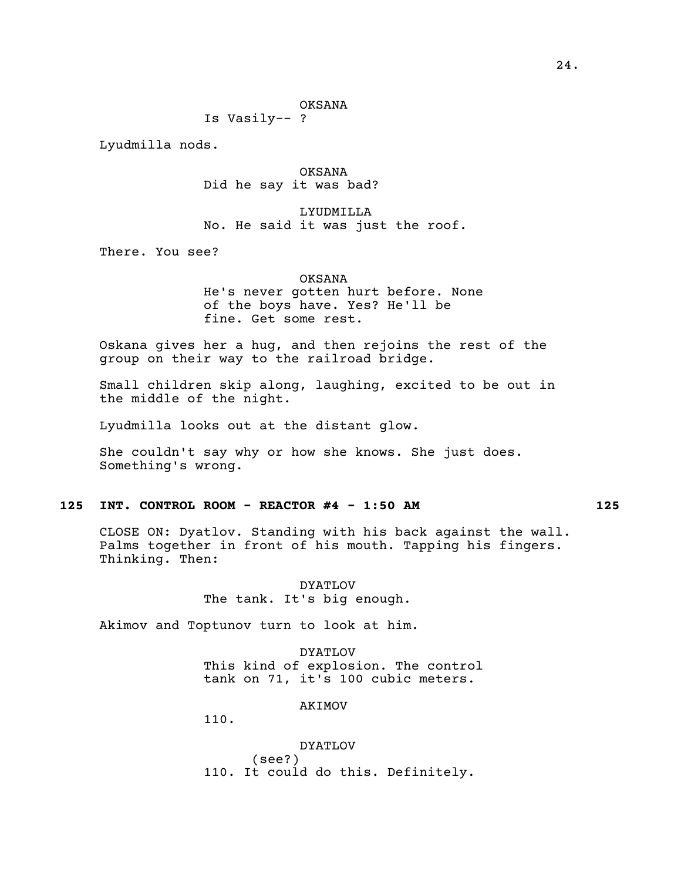## OKSANA

Is Vasily-- ?

Lyudmilla nods.

OKSANA Did he say it was bad?

LYUDMILLA No. He said it was just the roof.

There. You see?

#### OKSANA

He's never gotten hurt before. None of the boys have. Yes? He'll be fine. Get some rest.

Oskana gives her a hug, and then rejoins the rest of the group on their way to the railroad bridge.

Small children skip along, laughing, excited to be out in the middle of the night.

Lyudmilla looks out at the distant glow.

She couldn't say why or how she knows. She just does. Something's wrong.

## **125 INT. CONTROL ROOM - REACTOR #4 - 1:50 AM 125**

CLOSE ON: Dyatlov. Standing with his back against the wall. Palms together in front of his mouth. Tapping his fingers. Thinking. Then:

> DYATLOV The tank. It's big enough.

Akimov and Toptunov turn to look at him.

DYATLOV This kind of explosion. The control tank on 71, it's 100 cubic meters.

AKIMOV

110.

DYATLOV (see?) 110. It could do this. Definitely.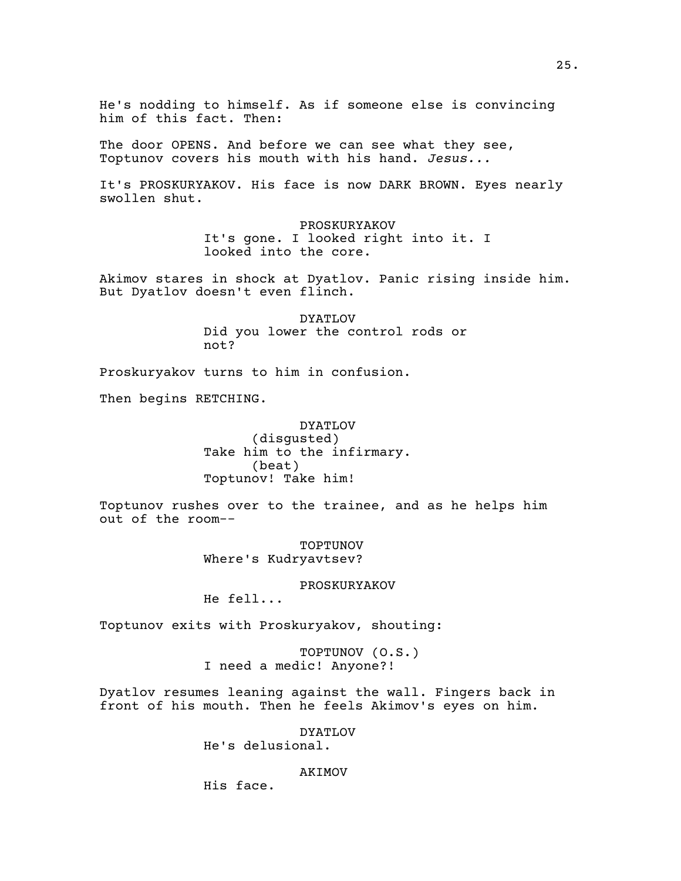He's nodding to himself. As if someone else is convincing him of this fact. Then:

The door OPENS. And before we can see what they see, Toptunov covers his mouth with his hand. *Jesus...*

It's PROSKURYAKOV. His face is now DARK BROWN. Eyes nearly swollen shut.

> PROSKURYAKOV It's gone. I looked right into it. I looked into the core.

Akimov stares in shock at Dyatlov. Panic rising inside him. But Dyatlov doesn't even flinch.

> DYATLOV Did you lower the control rods or not?

Proskuryakov turns to him in confusion.

Then begins RETCHING.

DYATLOV (disgusted) Take him to the infirmary. (beat) Toptunov! Take him!

Toptunov rushes over to the trainee, and as he helps him out of the room--

> TOPTUNOV Where's Kudryavtsev?

> > PROSKURYAKOV

He fell...

Toptunov exits with Proskuryakov, shouting:

TOPTUNOV (O.S.) I need a medic! Anyone?!

Dyatlov resumes leaning against the wall. Fingers back in front of his mouth. Then he feels Akimov's eyes on him.

DYATLOV

He's delusional.

AKIMOV

His face.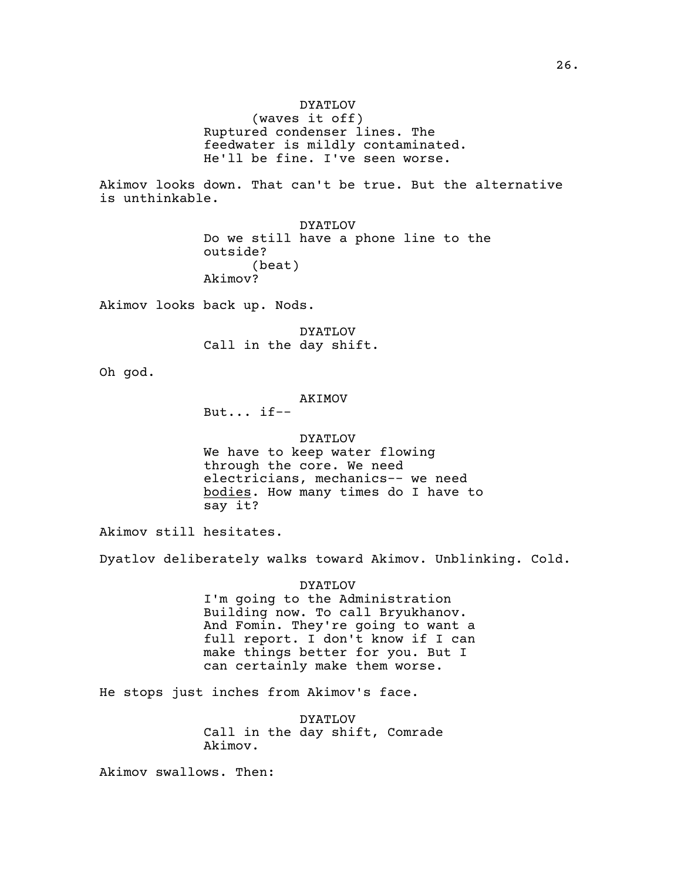Akimov looks down. That can't be true. But the alternative is unthinkable.

> DYATLOV Do we still have a phone line to the outside? (beat) Akimov?

Akimov looks back up. Nods.

DYATLOV Call in the day shift.

Oh god.

AKIMOV

But... if--

DYATLOV We have to keep water flowing through the core. We need electricians, mechanics-- we need bodies. How many times do I have to say it?

Akimov still hesitates.

Dyatlov deliberately walks toward Akimov. Unblinking. Cold.

DYATLOV I'm going to the Administration Building now. To call Bryukhanov. And Fomin. They're going to want a full report. I don't know if I can make things better for you. But I can certainly make them worse.

He stops just inches from Akimov's face.

DYATLOV Call in the day shift, Comrade Akimov.

Akimov swallows. Then: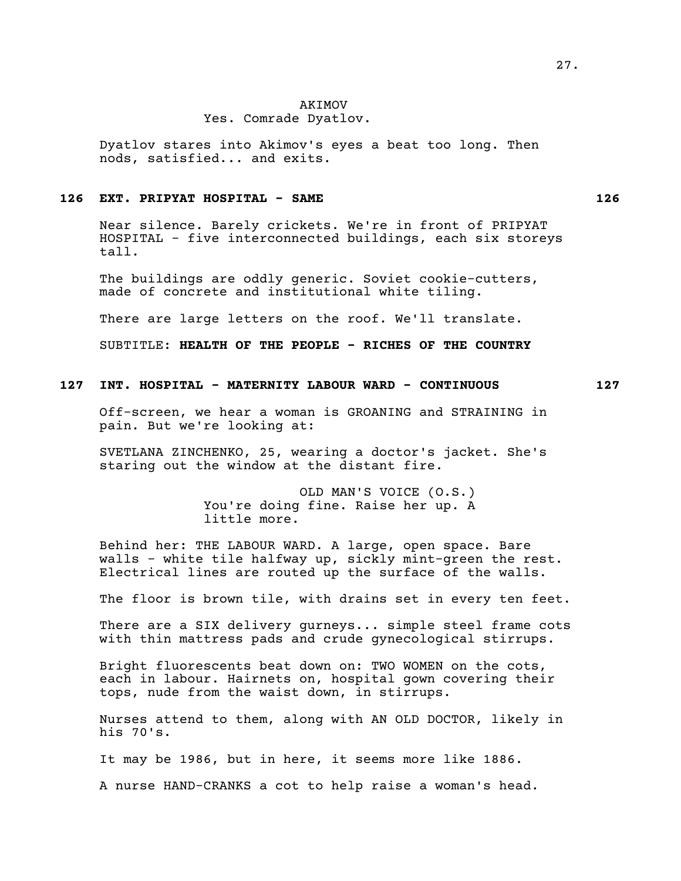### Yes. Comrade Dyatlov.

Dyatlov stares into Akimov's eyes a beat too long. Then nods, satisfied... and exits.

## **126 EXT. PRIPYAT HOSPITAL - SAME 126**

Near silence. Barely crickets. We're in front of PRIPYAT HOSPITAL - five interconnected buildings, each six storeys tall.

The buildings are oddly generic. Soviet cookie-cutters, made of concrete and institutional white tiling.

There are large letters on the roof. We'll translate.

SUBTITLE: **HEALTH OF THE PEOPLE - RICHES OF THE COUNTRY**

## **127 INT. HOSPITAL - MATERNITY LABOUR WARD - CONTINUOUS 127**

Off-screen, we hear a woman is GROANING and STRAINING in pain. But we're looking at:

SVETLANA ZINCHENKO, 25, wearing a doctor's jacket. She's staring out the window at the distant fire.

> OLD MAN'S VOICE (O.S.) You're doing fine. Raise her up. A little more.

Behind her: THE LABOUR WARD. A large, open space. Bare walls - white tile halfway up, sickly mint-green the rest. Electrical lines are routed up the surface of the walls.

The floor is brown tile, with drains set in every ten feet.

There are a SIX delivery gurneys... simple steel frame cots with thin mattress pads and crude gynecological stirrups.

Bright fluorescents beat down on: TWO WOMEN on the cots, each in labour. Hairnets on, hospital gown covering their tops, nude from the waist down, in stirrups.

Nurses attend to them, along with AN OLD DOCTOR, likely in his 70's.

It may be 1986, but in here, it seems more like 1886.

A nurse HAND-CRANKS a cot to help raise a woman's head.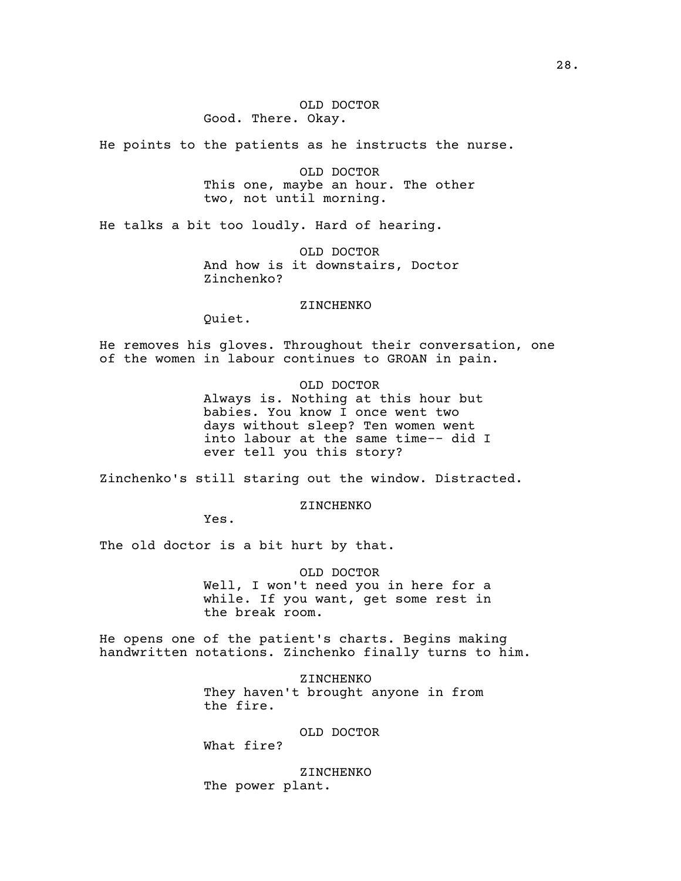## OLD DOCTOR Good. There. Okay.

He points to the patients as he instructs the nurse.

OLD DOCTOR This one, maybe an hour. The other two, not until morning.

He talks a bit too loudly. Hard of hearing.

OLD DOCTOR And how is it downstairs, Doctor Zinchenko?

#### ZINCHENKO

Quiet.

He removes his gloves. Throughout their conversation, one of the women in labour continues to GROAN in pain.

## OLD DOCTOR

Always is. Nothing at this hour but babies. You know I once went two days without sleep? Ten women went into labour at the same time-- did I ever tell you this story?

Zinchenko's still staring out the window. Distracted.

ZINCHENKO

Yes.

The old doctor is a bit hurt by that.

OLD DOCTOR Well, I won't need you in here for a while. If you want, get some rest in the break room.

He opens one of the patient's charts. Begins making handwritten notations. Zinchenko finally turns to him.

> ZINCHENKO They haven't brought anyone in from the fire.

## OLD DOCTOR

What fire?

ZINCHENKO The power plant.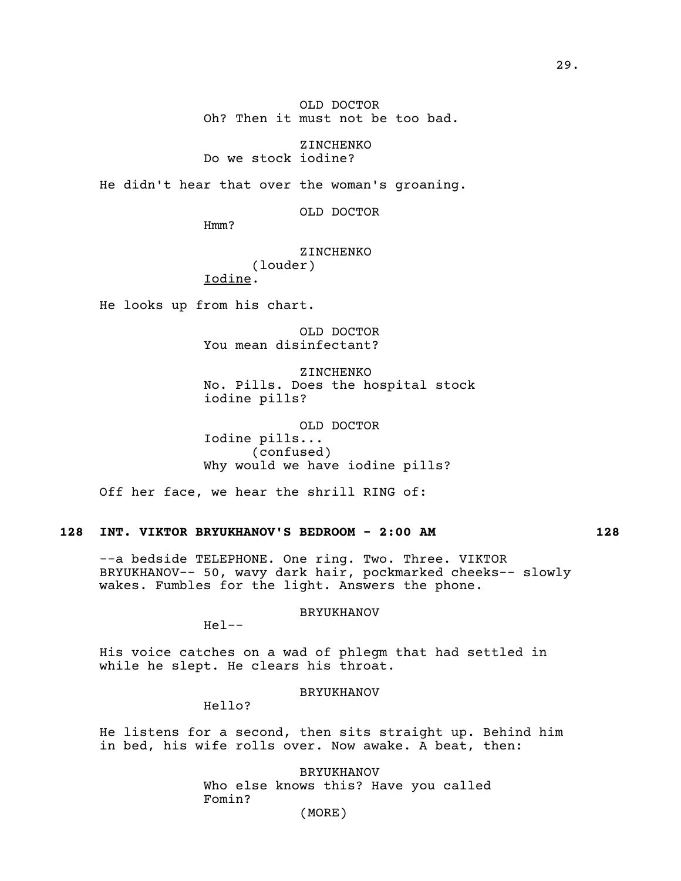OLD DOCTOR Oh? Then it must not be too bad.

ZINCHENKO Do we stock iodine?

He didn't hear that over the woman's groaning.

OLD DOCTOR

Hmm?

# ZINCHENKO (louder)

Iodine.

He looks up from his chart.

OLD DOCTOR You mean disinfectant?

ZINCHENKO No. Pills. Does the hospital stock iodine pills?

OLD DOCTOR Iodine pills... (confused) Why would we have iodine pills?

Off her face, we hear the shrill RING of:

# **128 INT. VIKTOR BRYUKHANOV'S BEDROOM - 2:00 AM 128**

--a bedside TELEPHONE. One ring. Two. Three. VIKTOR BRYUKHANOV-- 50, wavy dark hair, pockmarked cheeks-- slowly wakes. Fumbles for the light. Answers the phone.

### BRYUKHANOV

Hel--

His voice catches on a wad of phlegm that had settled in while he slept. He clears his throat.

#### BRYUKHANOV

Hello?

He listens for a second, then sits straight up. Behind him in bed, his wife rolls over. Now awake. A beat, then:

> BRYUKHANOV Who else knows this? Have you called Fomin?

(MORE)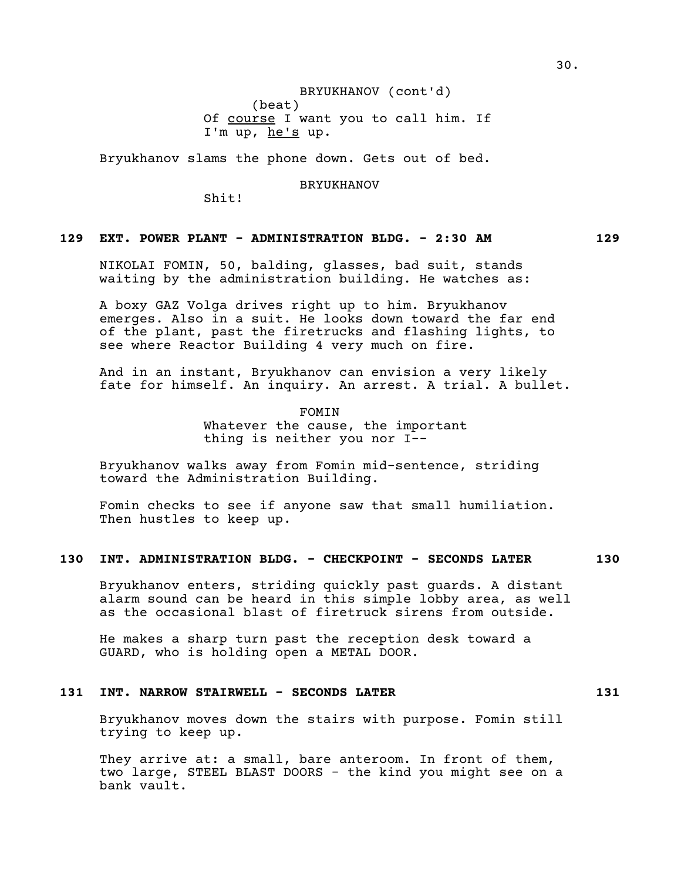## BRYUKHANOV (cont'd)

(beat) Of course I want you to call him. If I'm up, he's up.

Bryukhanov slams the phone down. Gets out of bed.

BRYUKHANOV

Shit!

# **129 EXT. POWER PLANT - ADMINISTRATION BLDG. - 2:30 AM 129**

NIKOLAI FOMIN, 50, balding, glasses, bad suit, stands waiting by the administration building. He watches as:

A boxy GAZ Volga drives right up to him. Bryukhanov emerges. Also in a suit. He looks down toward the far end of the plant, past the firetrucks and flashing lights, to see where Reactor Building 4 very much on fire.

And in an instant, Bryukhanov can envision a very likely fate for himself. An inquiry. An arrest. A trial. A bullet.

> FOMIN Whatever the cause, the important thing is neither you nor I--

Bryukhanov walks away from Fomin mid-sentence, striding toward the Administration Building.

Fomin checks to see if anyone saw that small humiliation. Then hustles to keep up.

# **130 INT. ADMINISTRATION BLDG. - CHECKPOINT - SECONDS LATER 130**

Bryukhanov enters, striding quickly past guards. A distant alarm sound can be heard in this simple lobby area, as well as the occasional blast of firetruck sirens from outside.

He makes a sharp turn past the reception desk toward a GUARD, who is holding open a METAL DOOR.

## **131 INT. NARROW STAIRWELL - SECONDS LATER 131**

Bryukhanov moves down the stairs with purpose. Fomin still trying to keep up.

They arrive at: a small, bare anteroom. In front of them, two large, STEEL BLAST DOORS - the kind you might see on a bank vault.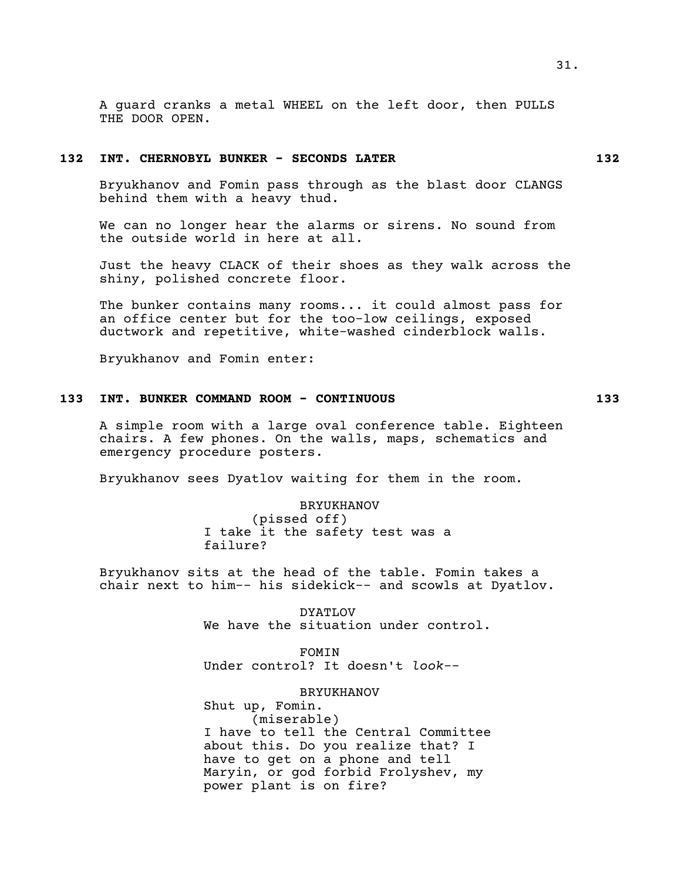## **132 INT. CHERNOBYL BUNKER - SECONDS LATER 132**

Bryukhanov and Fomin pass through as the blast door CLANGS behind them with a heavy thud.

We can no longer hear the alarms or sirens. No sound from the outside world in here at all.

Just the heavy CLACK of their shoes as they walk across the shiny, polished concrete floor.

The bunker contains many rooms... it could almost pass for an office center but for the too-low ceilings, exposed ductwork and repetitive, white-washed cinderblock walls.

Bryukhanov and Fomin enter:

### **133 INT. BUNKER COMMAND ROOM - CONTINUOUS 133**

A simple room with a large oval conference table. Eighteen chairs. A few phones. On the walls, maps, schematics and emergency procedure posters.

Bryukhanov sees Dyatlov waiting for them in the room.

BRYUKHANOV (pissed off) I take it the safety test was a failure?

Bryukhanov sits at the head of the table. Fomin takes a chair next to him-- his sidekick-- and scowls at Dyatlov.

> DYATLOV We have the situation under control.

FOMIN Under control? It doesn't *look*--

BRYUKHANOV

Shut up, Fomin. (miserable) I have to tell the Central Committee about this. Do you realize that? I have to get on a phone and tell Maryin, or god forbid Frolyshev, my power plant is on fire?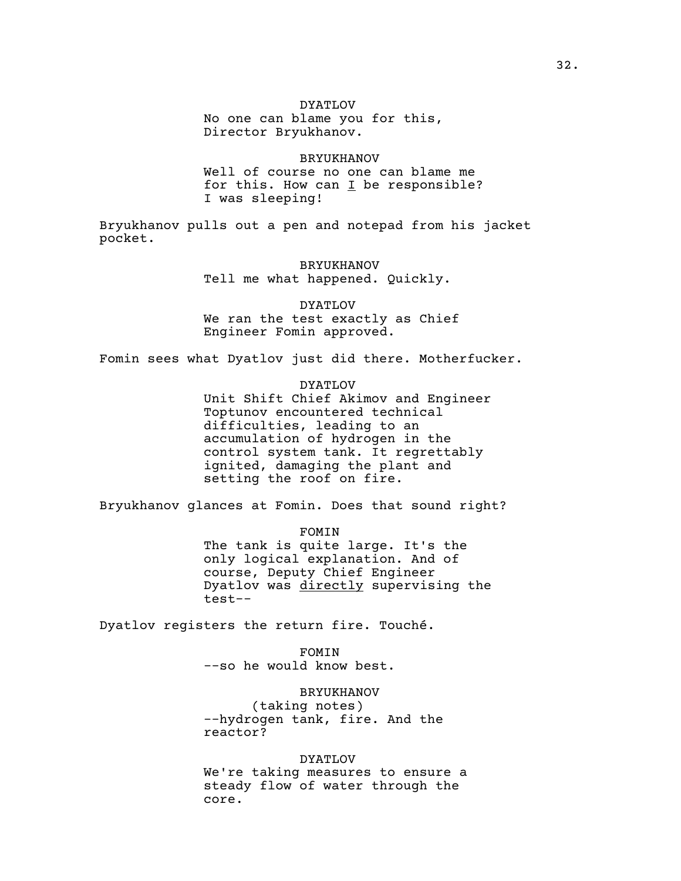## DYATLOV

No one can blame you for this, Director Bryukhanov.

BRYUKHANOV Well of course no one can blame me for this. How can  $I$  be responsible? I was sleeping!

Bryukhanov pulls out a pen and notepad from his jacket pocket.

> BRYUKHANOV Tell me what happened. Quickly.

DYATLOV We ran the test exactly as Chief Engineer Fomin approved.

Fomin sees what Dyatlov just did there. Motherfucker.

DYATLOV

Unit Shift Chief Akimov and Engineer Toptunov encountered technical difficulties, leading to an accumulation of hydrogen in the control system tank. It regrettably ignited, damaging the plant and setting the roof on fire.

Bryukhanov glances at Fomin. Does that sound right?

FOMIN

The tank is quite large. It's the only logical explanation. And of course, Deputy Chief Engineer Dyatlov was directly supervising the test--

Dyatlov registers the return fire. Touché.

FOMIN --so he would know best.

BRYUKHANOV (taking notes) --hydrogen tank, fire. And the reactor?

DYATLOV We're taking measures to ensure a steady flow of water through the core.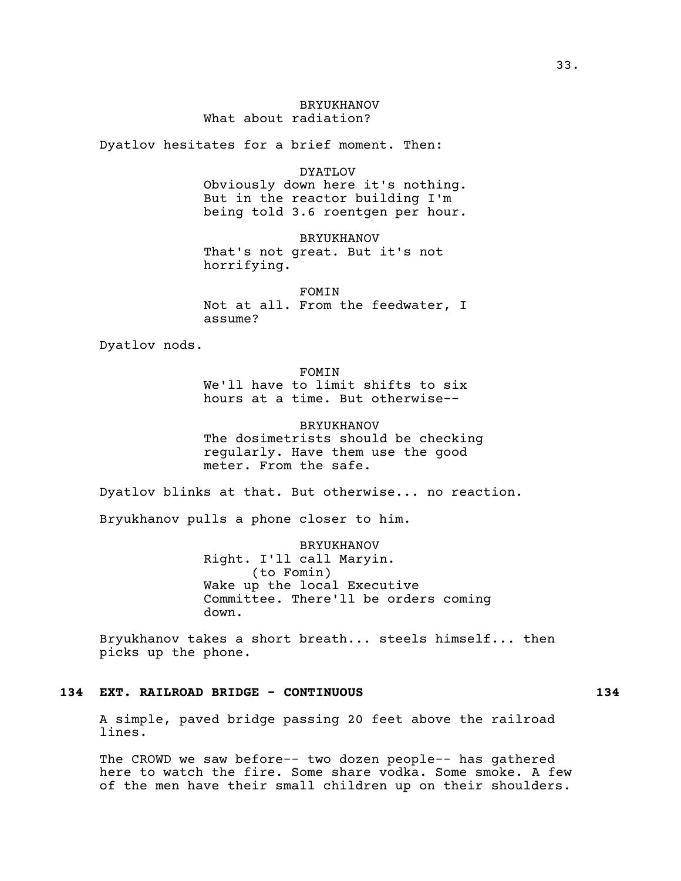# BRYUKHANOV What about radiation?

Dyatlov hesitates for a brief moment. Then:

DYATLOV

Obviously down here it's nothing. But in the reactor building I'm being told 3.6 roentgen per hour.

BRYUKHANOV

That's not great. But it's not horrifying.

FOMIN Not at all. From the feedwater, I assume?

Dyatlov nods.

## FOMIN

We'll have to limit shifts to six hours at a time. But otherwise--

BRYUKHANOV The dosimetrists should be checking regularly. Have them use the good meter. From the safe.

Dyatlov blinks at that. But otherwise... no reaction.

Bryukhanov pulls a phone closer to him.

BRYUKHANOV Right. I'll call Maryin. (to Fomin) Wake up the local Executive Committee. There'll be orders coming down.

Bryukhanov takes a short breath... steels himself... then picks up the phone.

## **134 EXT. RAILROAD BRIDGE - CONTINUOUS 134**

A simple, paved bridge passing 20 feet above the railroad lines.

The CROWD we saw before-- two dozen people-- has gathered here to watch the fire. Some share vodka. Some smoke. A few of the men have their small children up on their shoulders.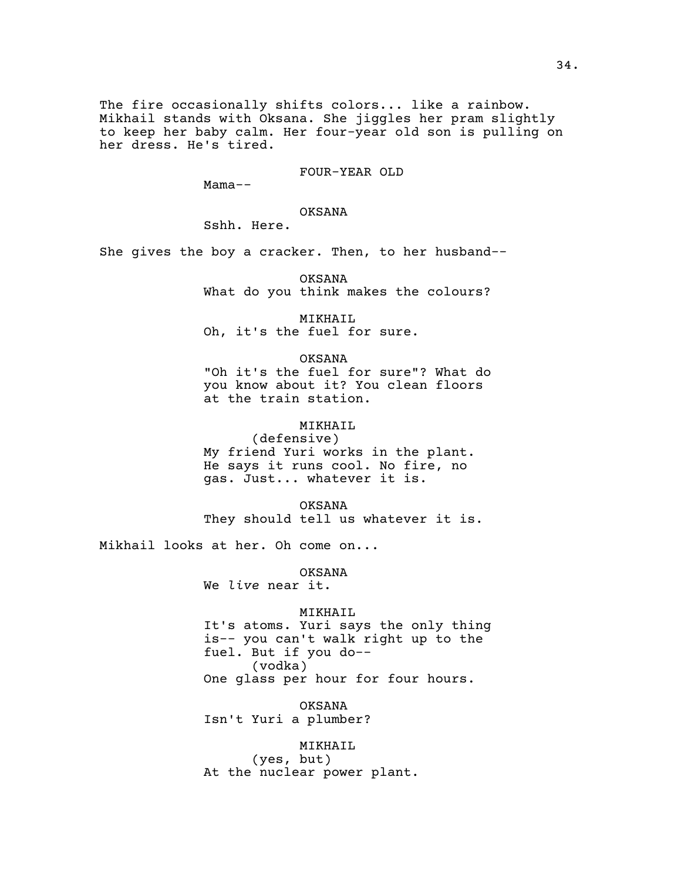The fire occasionally shifts colors... like a rainbow. Mikhail stands with Oksana. She jiggles her pram slightly to keep her baby calm. Her four-year old son is pulling on her dress. He's tired.

FOUR-YEAR OLD

Mama--

OKSANA

Sshh. Here.

She gives the boy a cracker. Then, to her husband--

OKSANA What do you think makes the colours?

MIKHAIL Oh, it's the fuel for sure.

OKSANA

"Oh it's the fuel for sure"? What do you know about it? You clean floors at the train station.

MIKHAIL

(defensive) My friend Yuri works in the plant. He says it runs cool. No fire, no gas. Just... whatever it is.

OKSANA They should tell us whatever it is.

Mikhail looks at her. Oh come on...

OKSANA We *live* near it.

MIKHAIL

It's atoms. Yuri says the only thing is-- you can't walk right up to the fuel. But if you do-- (vodka) One glass per hour for four hours.

OKSANA Isn't Yuri a plumber?

MIKHAIL (yes, but) At the nuclear power plant.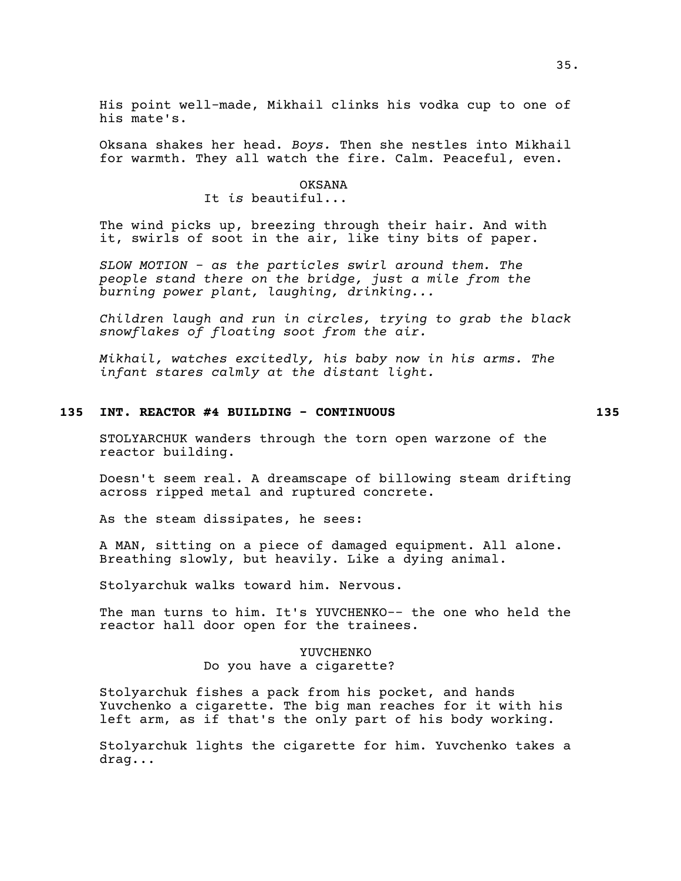His point well-made, Mikhail clinks his vodka cup to one of his mate's.

Oksana shakes her head. *Boys.* Then she nestles into Mikhail for warmth. They all watch the fire. Calm. Peaceful, even.

# OKSANA It *is* beautiful...

The wind picks up, breezing through their hair. And with it, swirls of soot in the air, like tiny bits of paper.

*SLOW MOTION - as the particles swirl around them. The people stand there on the bridge, just a mile from the burning power plant, laughing, drinking...*

*Children laugh and run in circles, trying to grab the black snowflakes of floating soot from the air.*

*Mikhail, watches excitedly, his baby now in his arms. The infant stares calmly at the distant light.*

# **135 INT. REACTOR #4 BUILDING - CONTINUOUS 135**

STOLYARCHUK wanders through the torn open warzone of the reactor building.

Doesn't seem real. A dreamscape of billowing steam drifting across ripped metal and ruptured concrete.

As the steam dissipates, he sees:

A MAN, sitting on a piece of damaged equipment. All alone. Breathing slowly, but heavily. Like a dying animal.

Stolyarchuk walks toward him. Nervous.

The man turns to him. It's YUVCHENKO-- the one who held the reactor hall door open for the trainees.

> YUVCHENKO Do you have a cigarette?

Stolyarchuk fishes a pack from his pocket, and hands Yuvchenko a cigarette. The big man reaches for it with his left arm, as if that's the only part of his body working.

Stolyarchuk lights the cigarette for him. Yuvchenko takes a drag...

35.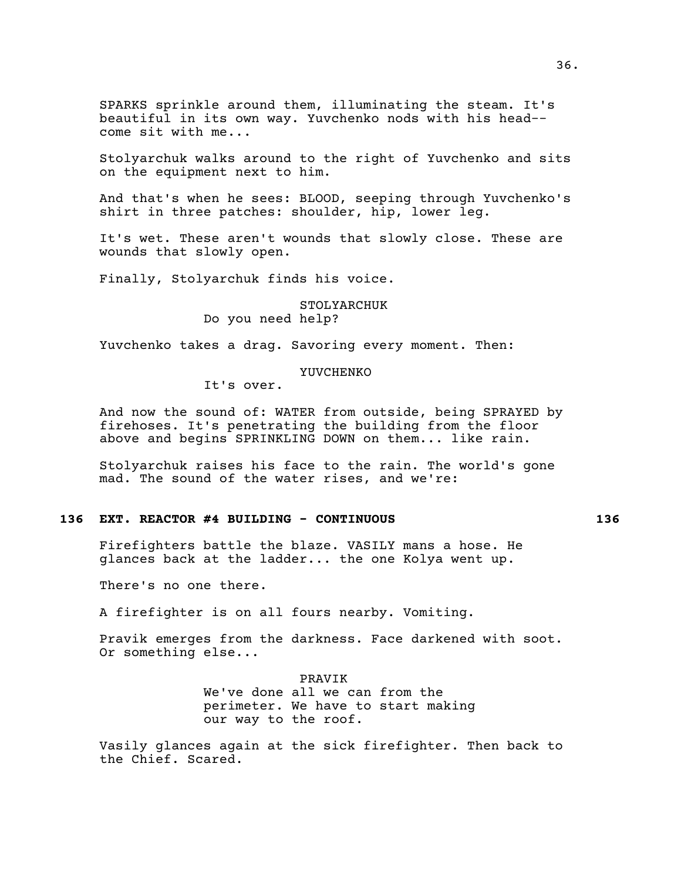SPARKS sprinkle around them, illuminating the steam. It's beautiful in its own way. Yuvchenko nods with his head- come sit with me...

Stolyarchuk walks around to the right of Yuvchenko and sits on the equipment next to him.

And that's when he sees: BLOOD, seeping through Yuvchenko's shirt in three patches: shoulder, hip, lower leg.

It's wet. These aren't wounds that slowly close. These are wounds that slowly open.

Finally, Stolyarchuk finds his voice.

## STOLYARCHUK Do you need help?

Yuvchenko takes a drag. Savoring every moment. Then:

### YUVCHENKO

It's over.

And now the sound of: WATER from outside, being SPRAYED by firehoses. It's penetrating the building from the floor above and begins SPRINKLING DOWN on them... like rain.

Stolyarchuk raises his face to the rain. The world's gone mad. The sound of the water rises, and we're:

## **136 EXT. REACTOR #4 BUILDING - CONTINUOUS 136**

Firefighters battle the blaze. VASILY mans a hose. He glances back at the ladder... the one Kolya went up.

There's no one there.

A firefighter is on all fours nearby. Vomiting.

Pravik emerges from the darkness. Face darkened with soot. Or something else...

> PRAVIK We've done all we can from the perimeter. We have to start making our way to the roof.

Vasily glances again at the sick firefighter. Then back to the Chief. Scared.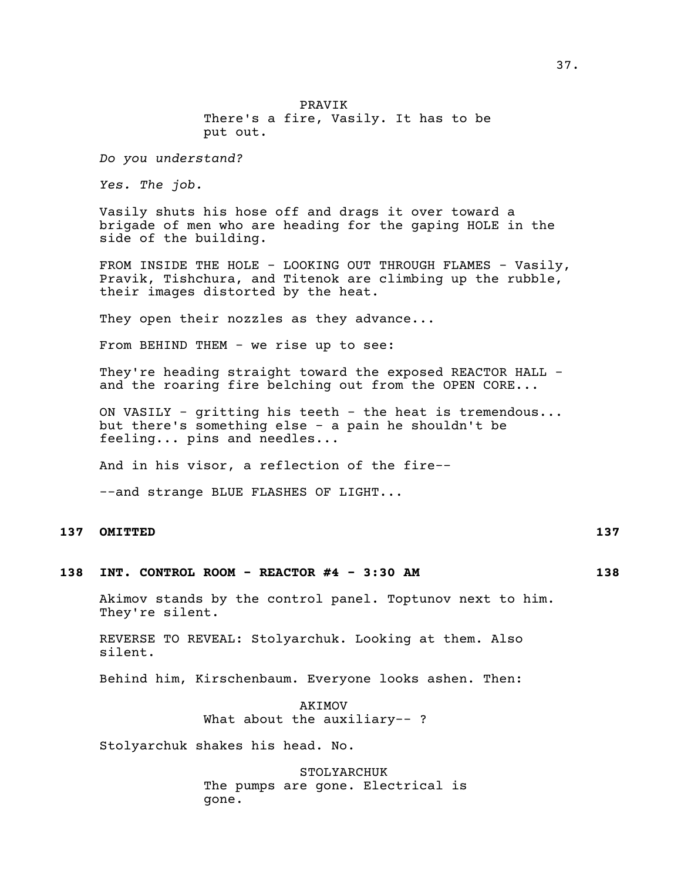PRAVIK There's a fire, Vasily. It has to be put out.

*Do you understand?*

*Yes. The job.*

Vasily shuts his hose off and drags it over toward a brigade of men who are heading for the gaping HOLE in the side of the building.

FROM INSIDE THE HOLE - LOOKING OUT THROUGH FLAMES - Vasily, Pravik, Tishchura, and Titenok are climbing up the rubble, their images distorted by the heat.

They open their nozzles as they advance...

From BEHIND THEM - we rise up to see:

They're heading straight toward the exposed REACTOR HALL and the roaring fire belching out from the OPEN CORE...

ON VASILY - gritting his teeth - the heat is tremendous... but there's something else - a pain he shouldn't be feeling... pins and needles...

And in his visor, a reflection of the fire--

--and strange BLUE FLASHES OF LIGHT...

## **137 OMITTED 137**

## **138 INT. CONTROL ROOM - REACTOR #4 - 3:30 AM 138**

Akimov stands by the control panel. Toptunov next to him. They're silent.

REVERSE TO REVEAL: Stolyarchuk. Looking at them. Also silent.

Behind him, Kirschenbaum. Everyone looks ashen. Then:

AKIMOV What about the auxiliary--?

Stolyarchuk shakes his head. No.

STOLYARCHUK The pumps are gone. Electrical is gone.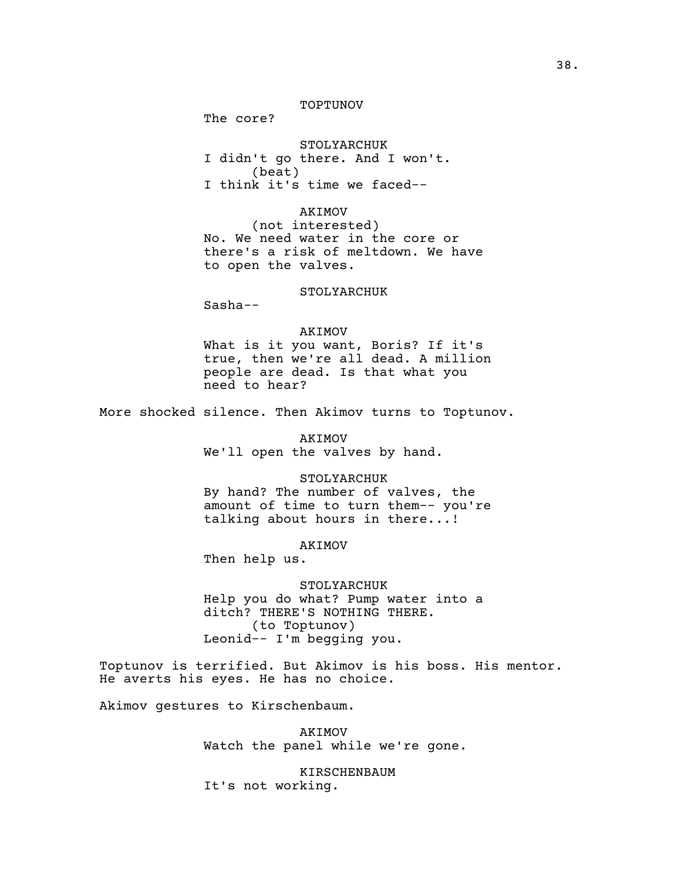#### TOPTUNOV

The core?

STOLYARCHUK I didn't go there. And I won't. (beat) I think it's time we faced--

AKIMOV (not interested) No. We need water in the core or there's a risk of meltdown. We have to open the valves.

#### STOLYARCHUK

Sasha--

#### AKIMOV

What is it you want, Boris? If it's true, then we're all dead. A million people are dead. Is that what you need to hear?

More shocked silence. Then Akimov turns to Toptunov.

AKIMOV We'll open the valves by hand.

#### STOLYARCHUK

By hand? The number of valves, the amount of time to turn them-- you're talking about hours in there...!

AKIMOV

Then help us.

### STOLYARCHUK

Help you do what? Pump water into a ditch? THERE'S NOTHING THERE. (to Toptunov) Leonid-- I'm begging you.

Toptunov is terrified. But Akimov is his boss. His mentor. He averts his eyes. He has no choice.

Akimov gestures to Kirschenbaum.

AKIMOV Watch the panel while we're gone.

KIRSCHENBAUM It's not working.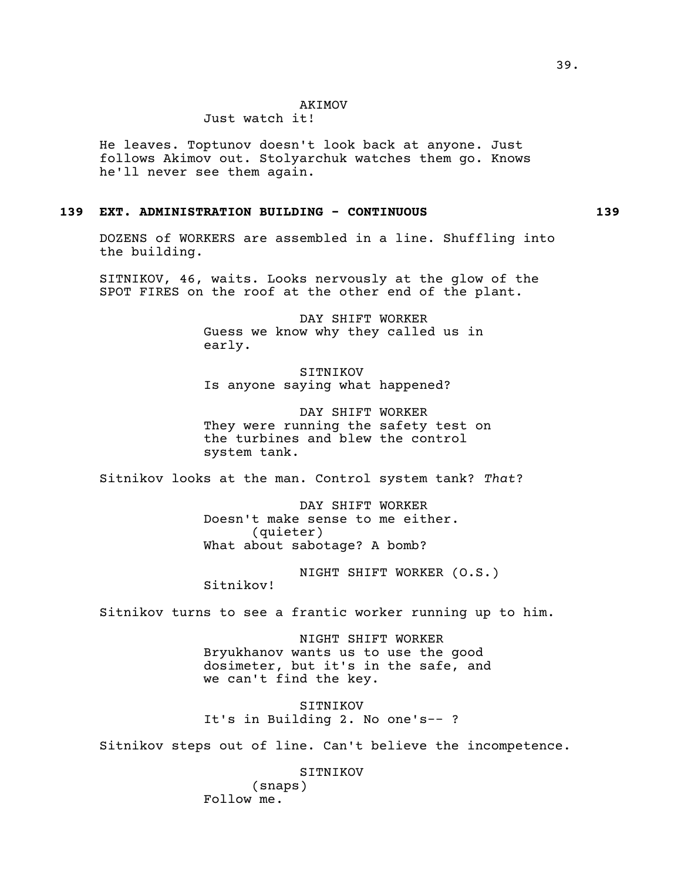#### AKIMOV

# Just watch it!

He leaves. Toptunov doesn't look back at anyone. Just follows Akimov out. Stolyarchuk watches them go. Knows he'll never see them again.

## **139 EXT. ADMINISTRATION BUILDING - CONTINUOUS 139**

DOZENS of WORKERS are assembled in a line. Shuffling into the building.

SITNIKOV, 46, waits. Looks nervously at the glow of the SPOT FIRES on the roof at the other end of the plant.

> DAY SHIFT WORKER Guess we know why they called us in early.

SITNIKOV Is anyone saying what happened?

DAY SHIFT WORKER They were running the safety test on the turbines and blew the control system tank.

Sitnikov looks at the man. Control system tank? *That*?

DAY SHIFT WORKER Doesn't make sense to me either. (quieter) What about sabotage? A bomb?

NIGHT SHIFT WORKER (O.S.) Sitnikov!

Sitnikov turns to see a frantic worker running up to him.

NIGHT SHIFT WORKER Bryukhanov wants us to use the good dosimeter, but it's in the safe, and we can't find the key.

SITNIKOV It's in Building 2. No one's-- ?

Sitnikov steps out of line. Can't believe the incompetence.

SITNIKOV

(snaps) Follow me.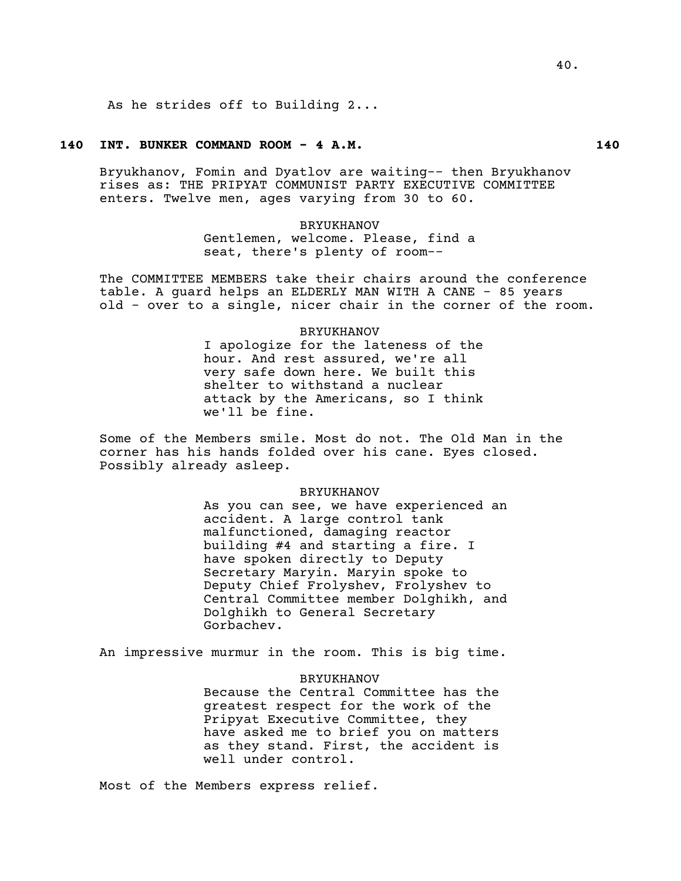As he strides off to Building 2...

## **140 INT. BUNKER COMMAND ROOM - 4 A.M. 140**

Bryukhanov, Fomin and Dyatlov are waiting-- then Bryukhanov rises as: THE PRIPYAT COMMUNIST PARTY EXECUTIVE COMMITTEE enters. Twelve men, ages varying from 30 to 60.

> BRYUKHANOV Gentlemen, welcome. Please, find a seat, there's plenty of room--

The COMMITTEE MEMBERS take their chairs around the conference table. A guard helps an ELDERLY MAN WITH A CANE - 85 years old - over to a single, nicer chair in the corner of the room.

> BRYUKHANOV I apologize for the lateness of the hour. And rest assured, we're all very safe down here. We built this shelter to withstand a nuclear attack by the Americans, so I think we'll be fine.

Some of the Members smile. Most do not. The Old Man in the corner has his hands folded over his cane. Eyes closed. Possibly already asleep.

#### BRYUKHANOV

As you can see, we have experienced an accident. A large control tank malfunctioned, damaging reactor building #4 and starting a fire. I have spoken directly to Deputy Secretary Maryin. Maryin spoke to Deputy Chief Frolyshev, Frolyshev to Central Committee member Dolghikh, and Dolghikh to General Secretary Gorbachev.

An impressive murmur in the room. This is big time.

#### BRYUKHANOV

Because the Central Committee has the greatest respect for the work of the Pripyat Executive Committee, they have asked me to brief you on matters as they stand. First, the accident is well under control.

Most of the Members express relief.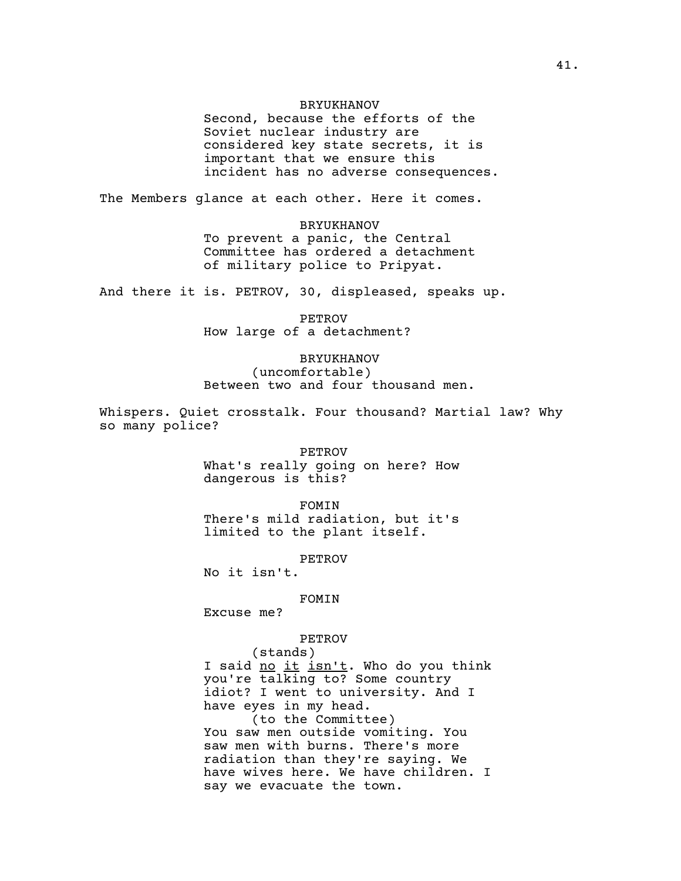#### BRYUKHANOV

Second, because the efforts of the Soviet nuclear industry are considered key state secrets, it is important that we ensure this incident has no adverse consequences.

The Members glance at each other. Here it comes.

BRYUKHANOV To prevent a panic, the Central Committee has ordered a detachment of military police to Pripyat.

And there it is. PETROV, 30, displeased, speaks up.

PETROV How large of a detachment?

BRYUKHANOV (uncomfortable) Between two and four thousand men.

Whispers. Quiet crosstalk. Four thousand? Martial law? Why so many police?

> PETROV What's really going on here? How dangerous is this?

> FOMIN There's mild radiation, but it's limited to the plant itself.

> > PETROV

No it isn't.

FOMIN

Excuse me?

PETROV

(stands) I said no it isn't. Who do you think you're talking to? Some country idiot? I went to university. And I have eyes in my head. (to the Committee) You saw men outside vomiting. You saw men with burns. There's more radiation than they're saying. We have wives here. We have children. I say we evacuate the town.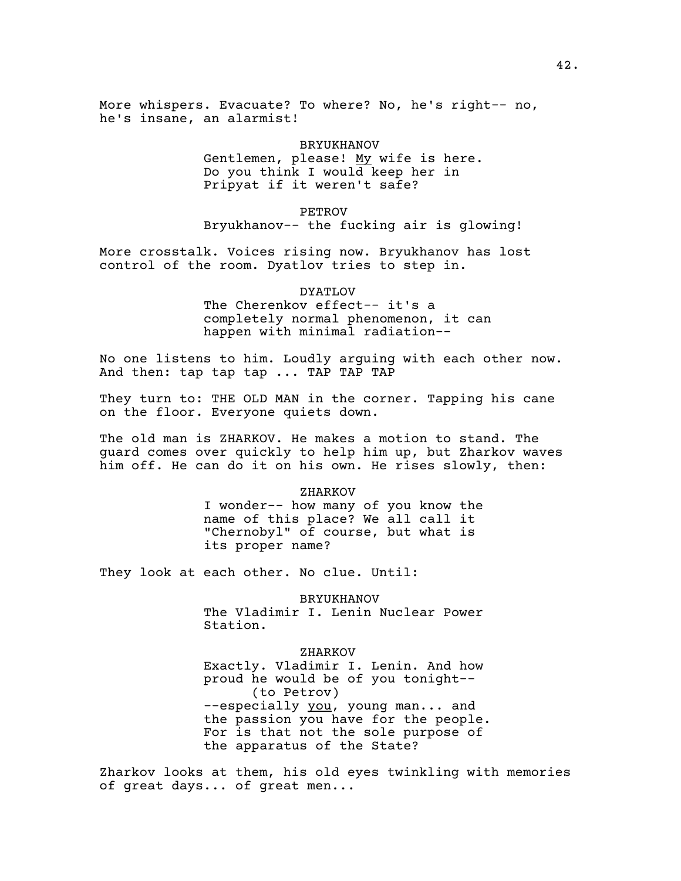More whispers. Evacuate? To where? No, he's right-- no, he's insane, an alarmist!

## BRYUKHANOV

Gentlemen, please! My wife is here. Do you think I would keep her in Pripyat if it weren't safe?

#### PETROV

Bryukhanov-- the fucking air is glowing!

More crosstalk. Voices rising now. Bryukhanov has lost control of the room. Dyatlov tries to step in.

#### DYATLOV

The Cherenkov effect-- it's a completely normal phenomenon, it can happen with minimal radiation--

No one listens to him. Loudly arguing with each other now. And then: tap tap tap ... TAP TAP TAP

They turn to: THE OLD MAN in the corner. Tapping his cane on the floor. Everyone quiets down.

The old man is ZHARKOV. He makes a motion to stand. The guard comes over quickly to help him up, but Zharkov waves him off. He can do it on his own. He rises slowly, then:

#### ZHARKOV

I wonder-- how many of you know the name of this place? We all call it "Chernobyl" of course, but what is its proper name?

They look at each other. No clue. Until:

BRYUKHANOV The Vladimir I. Lenin Nuclear Power

Station.

ZHARKOV

Exactly. Vladimir I. Lenin. And how proud he would be of you tonight-- (to Petrov) --especially you, young man... and the passion you have for the people. For is that not the sole purpose of the apparatus of the State?

Zharkov looks at them, his old eyes twinkling with memories of great days... of great men...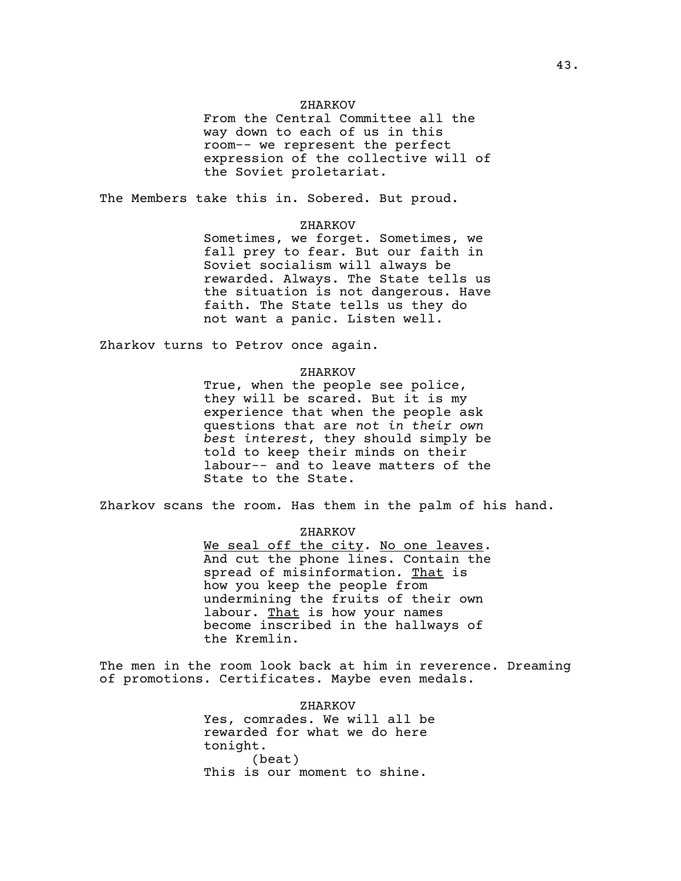#### ZHARKOV

From the Central Committee all the way down to each of us in this room-- we represent the perfect expression of the collective will of the Soviet proletariat.

The Members take this in. Sobered. But proud.

## ZHARKOV

Sometimes, we forget. Sometimes, we fall prey to fear. But our faith in Soviet socialism will always be rewarded. Always. The State tells us the situation is not dangerous. Have faith. The State tells us they do not want a panic. Listen well.

Zharkov turns to Petrov once again.

#### ZHARKOV

True, when the people see police, they will be scared. But it is my experience that when the people ask questions that are *not in their own best interest*, they should simply be told to keep their minds on their labour-- and to leave matters of the State to the State.

Zharkov scans the room. Has them in the palm of his hand.

## ZHARKOV

We seal off the city. No one leaves. And cut the phone lines. Contain the spread of misinformation. That is how you keep the people from undermining the fruits of their own labour. That is how your names become inscribed in the hallways of the Kremlin.

The men in the room look back at him in reverence. Dreaming of promotions. Certificates. Maybe even medals.

> ZHARKOV Yes, comrades. We will all be rewarded for what we do here tonight. (beat) This is our moment to shine.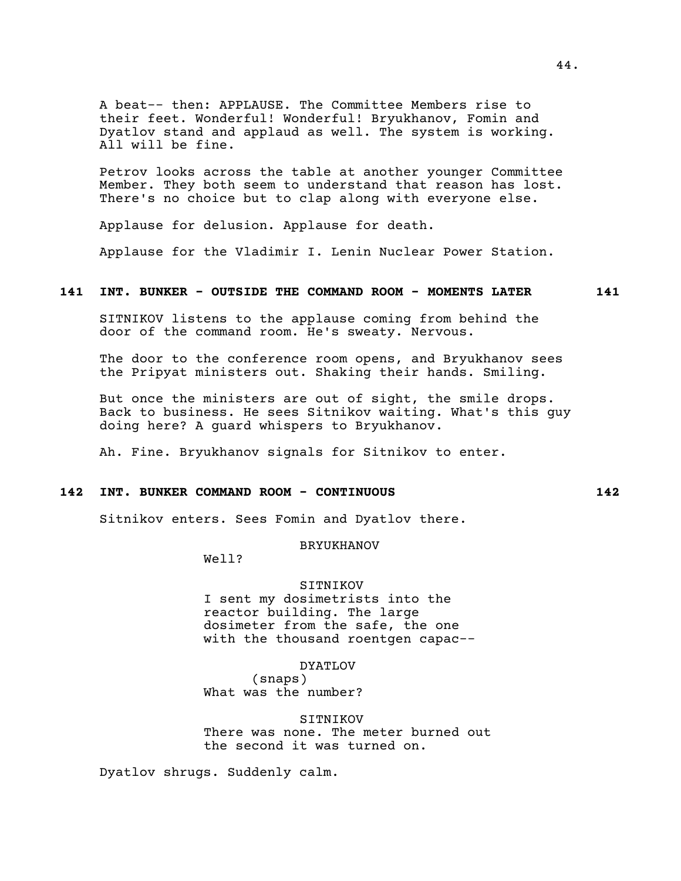A beat-- then: APPLAUSE. The Committee Members rise to their feet. Wonderful! Wonderful! Bryukhanov, Fomin and Dyatlov stand and applaud as well. The system is working. All will be fine.

Petrov looks across the table at another younger Committee Member. They both seem to understand that reason has lost. There's no choice but to clap along with everyone else.

Applause for delusion. Applause for death.

Applause for the Vladimir I. Lenin Nuclear Power Station.

## **141 INT. BUNKER - OUTSIDE THE COMMAND ROOM - MOMENTS LATER 141**

SITNIKOV listens to the applause coming from behind the door of the command room. He's sweaty. Nervous.

The door to the conference room opens, and Bryukhanov sees the Pripyat ministers out. Shaking their hands. Smiling.

But once the ministers are out of sight, the smile drops. Back to business. He sees Sitnikov waiting. What's this guy doing here? A guard whispers to Bryukhanov.

Ah. Fine. Bryukhanov signals for Sitnikov to enter.

# **142 INT. BUNKER COMMAND ROOM - CONTINUOUS 142**

Sitnikov enters. Sees Fomin and Dyatlov there.

## BRYUKHANOV

Well?

### SITNIKOV

I sent my dosimetrists into the reactor building. The large dosimeter from the safe, the one with the thousand roentgen capac--

DYATLOV

(snaps) What was the number?

SITNIKOV There was none. The meter burned out the second it was turned on.

Dyatlov shrugs. Suddenly calm.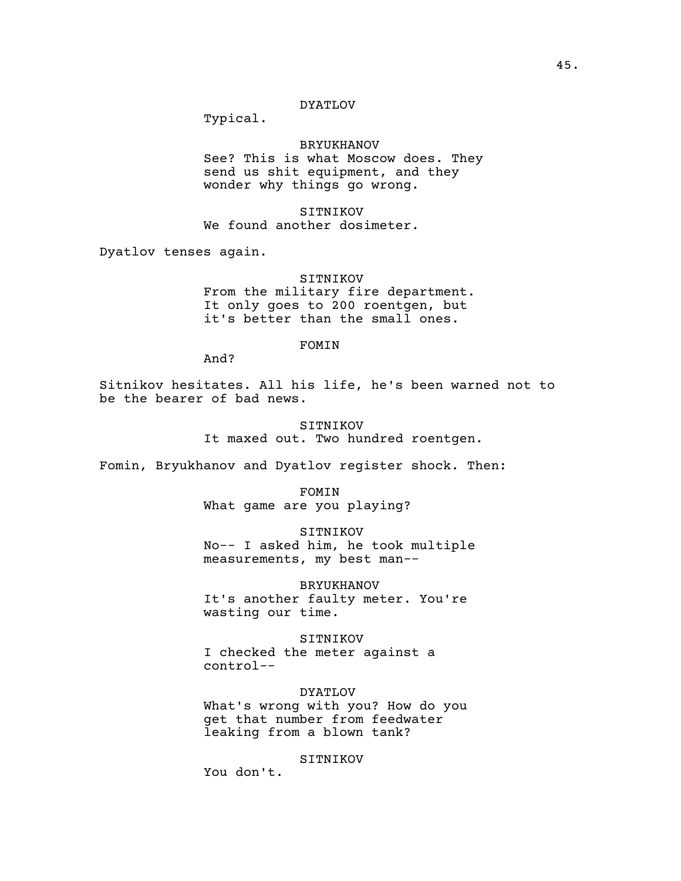## DYATLOV

Typical.

## BRYUKHANOV

See? This is what Moscow does. They send us shit equipment, and they wonder why things go wrong.

SITNIKOV We found another dosimeter.

Dyatlov tenses again.

SITNIKOV From the military fire department. It only goes to 200 roentgen, but it's better than the small ones.

#### FOMIN

And?

Sitnikov hesitates. All his life, he's been warned not to be the bearer of bad news.

> SITNIKOV It maxed out. Two hundred roentgen.

Fomin, Bryukhanov and Dyatlov register shock. Then:

FOMIN What game are you playing?

SITNIKOV No-- I asked him, he took multiple measurements, my best man--

BRYUKHANOV It's another faulty meter. You're wasting our time.

SITNIKOV I checked the meter against a control--

DYATLOV What's wrong with you? How do you get that number from feedwater leaking from a blown tank?

SITNIKOV

You don't.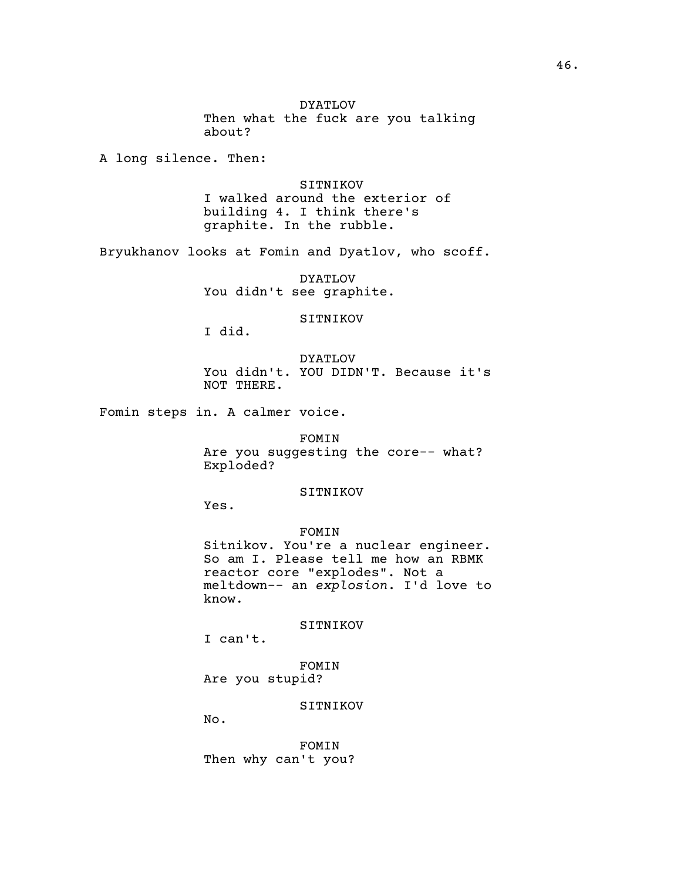DYATLOV Then what the fuck are you talking about?

A long silence. Then:

SITNIKOV I walked around the exterior of building 4. I think there's graphite. In the rubble.

Bryukhanov looks at Fomin and Dyatlov, who scoff.

DYATLOV You didn't see graphite.

SITNIKOV

I did.

DYATLOV You didn't. YOU DIDN'T. Because it's NOT THERE.

Fomin steps in. A calmer voice.

FOMIN Are you suggesting the core-- what? Exploded?

## SITNIKOV

Yes.

## FOMIN

Sitnikov. You're a nuclear engineer. So am I. Please tell me how an RBMK reactor core "explodes". Not a meltdown-- an *explosion*. I'd love to know.

SITNIKOV

I can't.

FOMIN Are you stupid?

SITNIKOV

No.

FOMIN Then why can't you?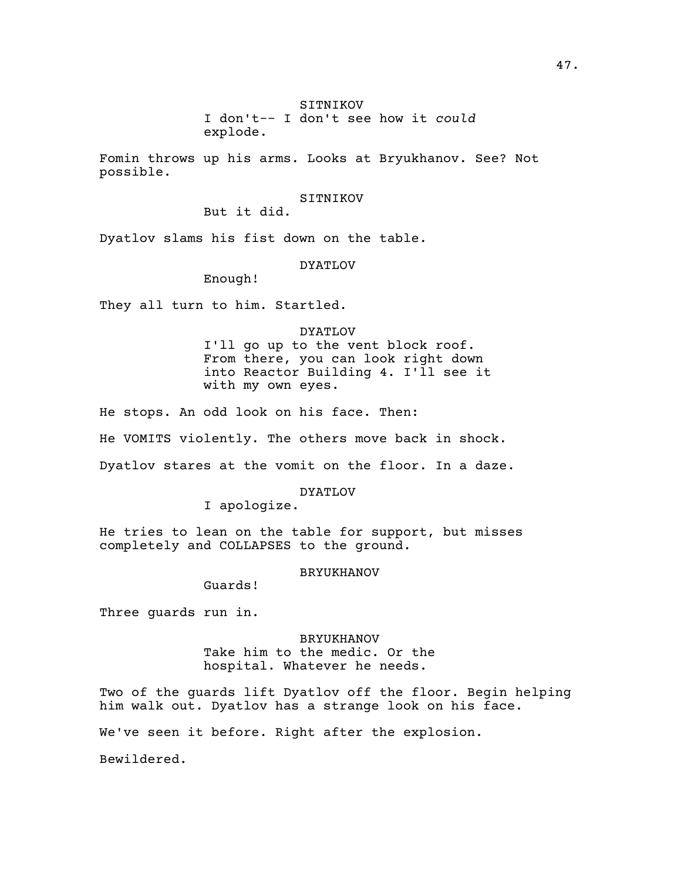Fomin throws up his arms. Looks at Bryukhanov. See? Not possible.

## SITNIKOV

But it did.

Dyatlov slams his fist down on the table.

#### DYATLOV

Enough!

They all turn to him. Startled.

DYATLOV I'll go up to the vent block roof. From there, you can look right down into Reactor Building 4. I'll see it with my own eyes.

He stops. An odd look on his face. Then:

He VOMITS violently. The others move back in shock.

Dyatlov stares at the vomit on the floor. In a daze.

DYATLOV

I apologize.

He tries to lean on the table for support, but misses completely and COLLAPSES to the ground.

#### BRYUKHANOV

Guards!

Three guards run in.

BRYUKHANOV Take him to the medic. Or the hospital. Whatever he needs.

Two of the guards lift Dyatlov off the floor. Begin helping him walk out. Dyatlov has a strange look on his face.

We've seen it before. Right after the explosion.

Bewildered.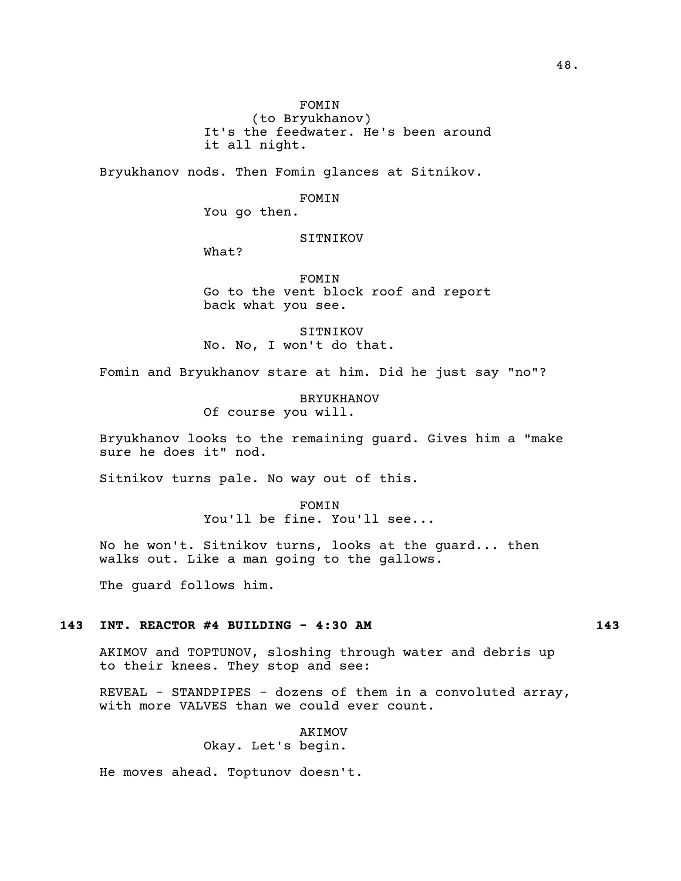(to Bryukhanov) It's the feedwater. He's been around it all night.

Bryukhanov nods. Then Fomin glances at Sitnikov.

FOMIN

You go then.

## SITNIKOV

What?

FOMIN Go to the vent block roof and report back what you see.

SITNIKOV No. No, I won't do that.

Fomin and Bryukhanov stare at him. Did he just say "no"?

BRYUKHANOV Of course you will.

Bryukhanov looks to the remaining guard. Gives him a "make sure he does it" nod.

Sitnikov turns pale. No way out of this.

FOMIN You'll be fine. You'll see...

No he won't. Sitnikov turns, looks at the guard... then walks out. Like a man going to the gallows.

The guard follows him.

## **143 INT. REACTOR #4 BUILDING - 4:30 AM 143**

AKIMOV and TOPTUNOV, sloshing through water and debris up to their knees. They stop and see:

REVEAL - STANDPIPES - dozens of them in a convoluted array, with more VALVES than we could ever count.

> AKIMOV Okay. Let's begin.

He moves ahead. Toptunov doesn't.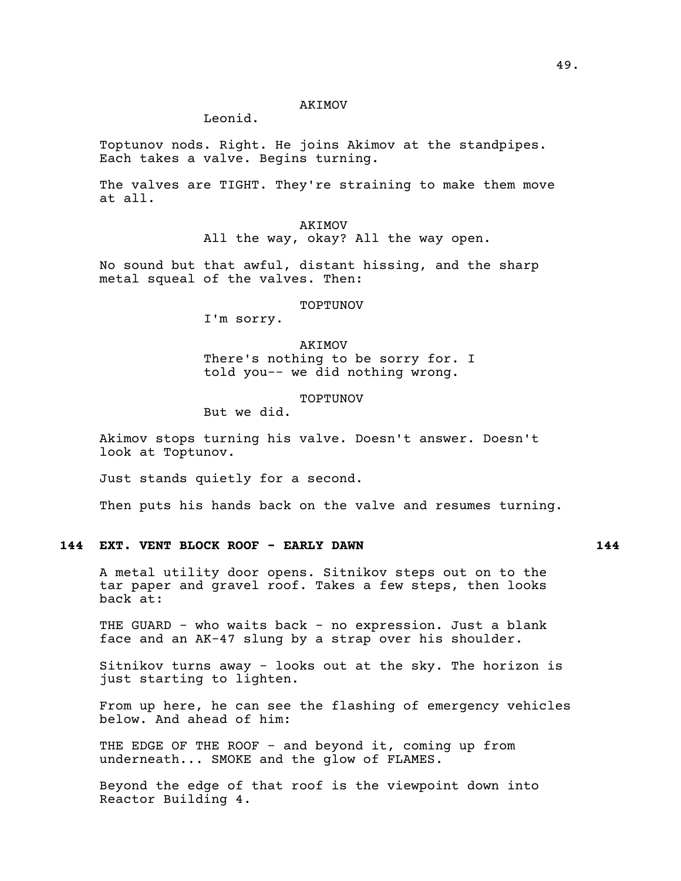#### AKIMOV

# Leonid.

Toptunov nods. Right. He joins Akimov at the standpipes. Each takes a valve. Begins turning.

The valves are TIGHT. They're straining to make them move at all.

> AKIMOV All the way, okay? All the way open.

No sound but that awful, distant hissing, and the sharp metal squeal of the valves. Then:

#### TOPTUNOV

I'm sorry.

AKIMOV There's nothing to be sorry for. I told you-- we did nothing wrong.

TOPTUNOV

But we did.

Akimov stops turning his valve. Doesn't answer. Doesn't look at Toptunov.

Just stands quietly for a second.

Then puts his hands back on the valve and resumes turning.

# **144 EXT. VENT BLOCK ROOF - EARLY DAWN 144**

A metal utility door opens. Sitnikov steps out on to the tar paper and gravel roof. Takes a few steps, then looks back at:

THE GUARD - who waits back - no expression. Just a blank face and an AK-47 slung by a strap over his shoulder.

Sitnikov turns away - looks out at the sky. The horizon is just starting to lighten.

From up here, he can see the flashing of emergency vehicles below. And ahead of him:

THE EDGE OF THE ROOF - and beyond it, coming up from underneath... SMOKE and the glow of FLAMES.

Beyond the edge of that roof is the viewpoint down into Reactor Building 4.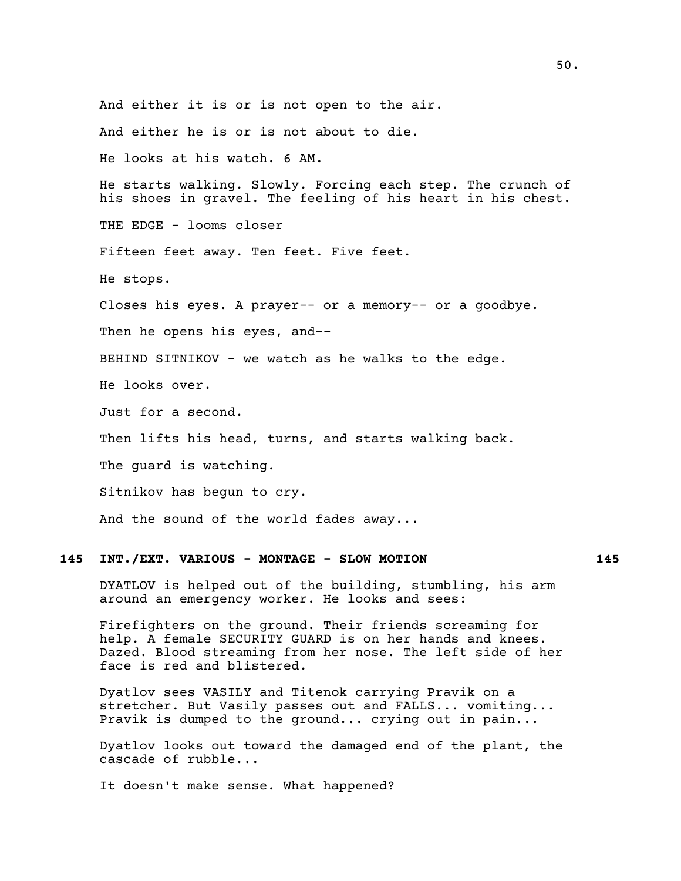And either it is or is not open to the air. And either he is or is not about to die. He looks at his watch. 6 AM. He starts walking. Slowly. Forcing each step. The crunch of his shoes in gravel. The feeling of his heart in his chest. THE EDGE - looms closer Fifteen feet away. Ten feet. Five feet. He stops. Closes his eyes. A prayer-- or a memory-- or a goodbye. Then he opens his eyes, and-- BEHIND SITNIKOV - we watch as he walks to the edge. He looks over. Just for a second. Then lifts his head, turns, and starts walking back. The guard is watching. Sitnikov has begun to cry. And the sound of the world fades away...

# **145 INT./EXT. VARIOUS - MONTAGE - SLOW MOTION 145**

DYATLOV is helped out of the building, stumbling, his arm around an emergency worker. He looks and sees:

Firefighters on the ground. Their friends screaming for help. A female SECURITY GUARD is on her hands and knees. Dazed. Blood streaming from her nose. The left side of her face is red and blistered.

Dyatlov sees VASILY and Titenok carrying Pravik on a stretcher. But Vasily passes out and FALLS... vomiting... Pravik is dumped to the ground... crying out in pain...

Dyatlov looks out toward the damaged end of the plant, the cascade of rubble...

It doesn't make sense. What happened?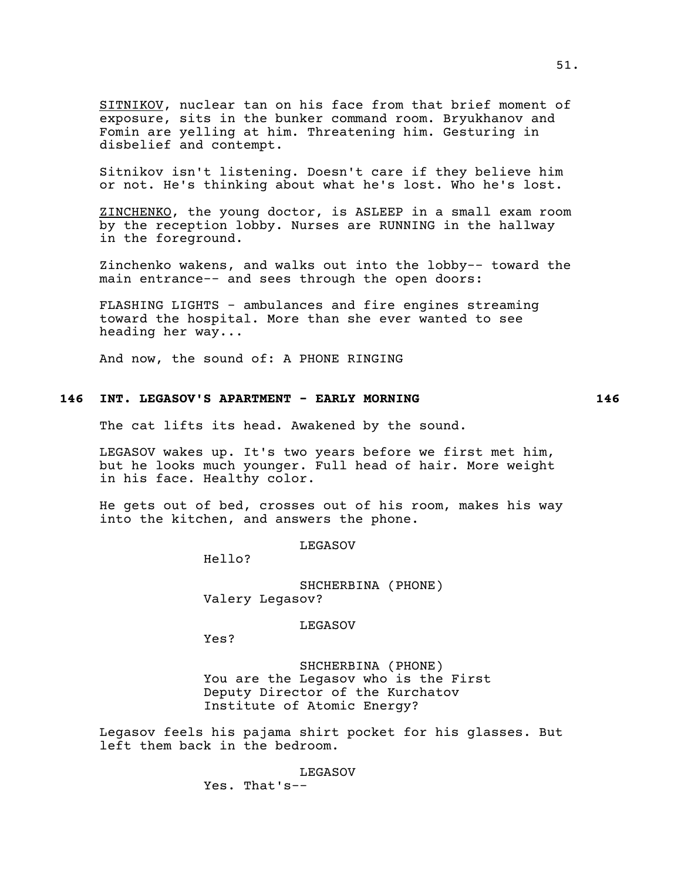SITNIKOV, nuclear tan on his face from that brief moment of exposure, sits in the bunker command room. Bryukhanov and Fomin are yelling at him. Threatening him. Gesturing in disbelief and contempt.

Sitnikov isn't listening. Doesn't care if they believe him or not. He's thinking about what he's lost. Who he's lost.

ZINCHENKO, the young doctor, is ASLEEP in a small exam room by the reception lobby. Nurses are RUNNING in the hallway in the foreground.

Zinchenko wakens, and walks out into the lobby-- toward the main entrance-- and sees through the open doors:

FLASHING LIGHTS - ambulances and fire engines streaming toward the hospital. More than she ever wanted to see heading her way...

And now, the sound of: A PHONE RINGING

### **146 INT. LEGASOV'S APARTMENT - EARLY MORNING 146**

The cat lifts its head. Awakened by the sound.

LEGASOV wakes up. It's two years before we first met him, but he looks much younger. Full head of hair. More weight in his face. Healthy color.

He gets out of bed, crosses out of his room, makes his way into the kitchen, and answers the phone.

LEGASOV

Hello?

SHCHERBINA (PHONE) Valery Legasov?

LEGASOV

Yes?

SHCHERBINA (PHONE) You are the Legasov who is the First Deputy Director of the Kurchatov Institute of Atomic Energy?

Legasov feels his pajama shirt pocket for his glasses. But left them back in the bedroom.

> LEGASOV Yes. That's--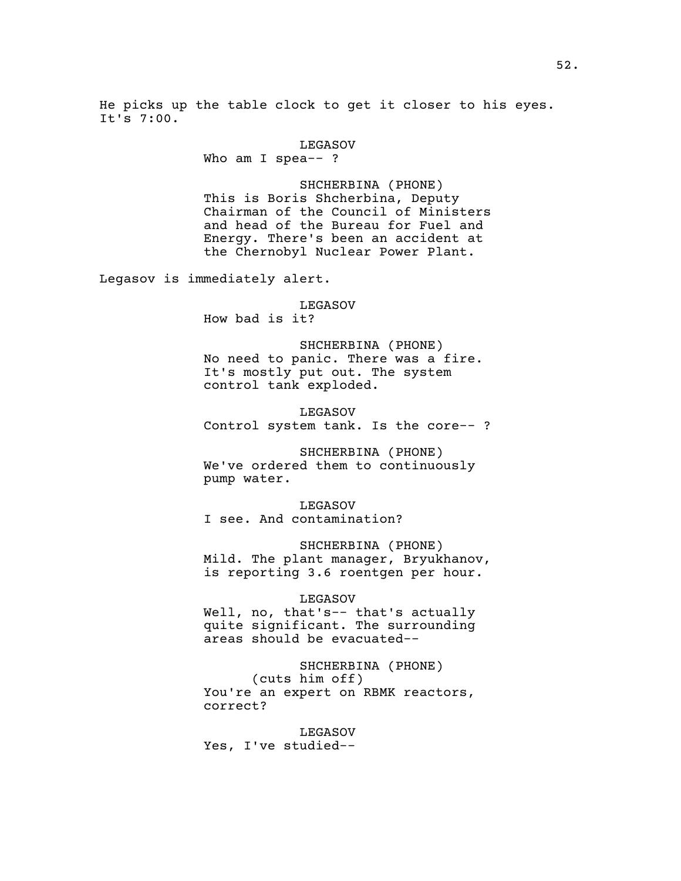He picks up the table clock to get it closer to his eyes. It's 7:00.

#### LEGASOV

Who am I spea-- ?

SHCHERBINA (PHONE) This is Boris Shcherbina, Deputy Chairman of the Council of Ministers and head of the Bureau for Fuel and Energy. There's been an accident at the Chernobyl Nuclear Power Plant.

Legasov is immediately alert.

## LEGASOV

How bad is it?

SHCHERBINA (PHONE) No need to panic. There was a fire. It's mostly put out. The system control tank exploded.

LEGASOV Control system tank. Is the core-- ?

SHCHERBINA (PHONE) We've ordered them to continuously pump water.

LEGASOV I see. And contamination?

SHCHERBINA (PHONE) Mild. The plant manager, Bryukhanov, is reporting 3.6 roentgen per hour.

### LEGASOV

Well, no, that's-- that's actually quite significant. The surrounding areas should be evacuated--

# SHCHERBINA (PHONE)

(cuts him off) You're an expert on RBMK reactors, correct?

LEGASOV Yes, I've studied--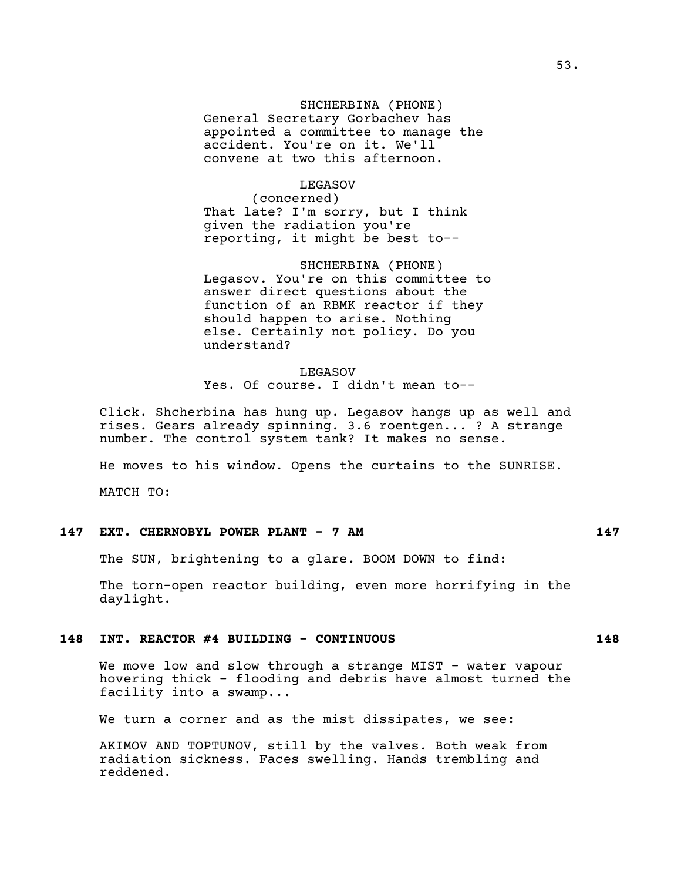SHCHERBINA (PHONE) General Secretary Gorbachev has appointed a committee to manage the accident. You're on it. We'll convene at two this afternoon.

LEGASOV (concerned) That late? I'm sorry, but I think given the radiation you're reporting, it might be best to--

SHCHERBINA (PHONE) Legasov. You're on this committee to answer direct questions about the function of an RBMK reactor if they should happen to arise. Nothing else. Certainly not policy. Do you understand?

LEGASOV Yes. Of course. I didn't mean to--

Click. Shcherbina has hung up. Legasov hangs up as well and rises. Gears already spinning. 3.6 roentgen... ? A strange number. The control system tank? It makes no sense.

He moves to his window. Opens the curtains to the SUNRISE.

MATCH TO:

# **147 EXT. CHERNOBYL POWER PLANT - 7 AM 147**

The SUN, brightening to a glare. BOOM DOWN to find:

The torn-open reactor building, even more horrifying in the daylight.

# **148 INT. REACTOR #4 BUILDING - CONTINUOUS 148**

We move low and slow through a strange MIST - water vapour hovering thick - flooding and debris have almost turned the facility into a swamp...

We turn a corner and as the mist dissipates, we see:

AKIMOV AND TOPTUNOV, still by the valves. Both weak from radiation sickness. Faces swelling. Hands trembling and reddened.